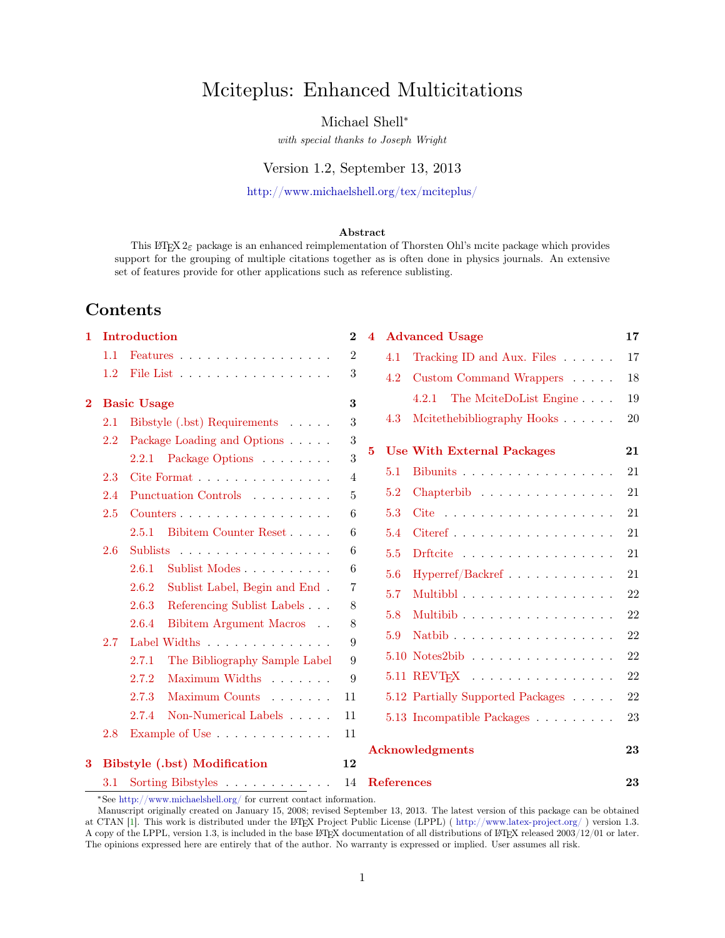# Mciteplus: Enhanced Multicitations

## Michael Shell<sup>∗</sup>

with special thanks to Joseph Wright

## Version 1.2, September 13, 2013

<http://www.michaelshell.org/tex/mciteplus/>

#### Abstract

This  $\text{Lipx } 2\varepsilon$  package is an enhanced reimplementation of Thorsten Ohl's mcite package which provides support for the grouping of multiple citations together as is often done in physics journals. An extensive set of features provide for other applications such as reference sublisting.

## Contents

| 1        | Introduction                 |                                           | $\bf{2}$       | $\overline{\mathbf{4}}$ | <b>Advanced Usage</b>                                          | 17        |
|----------|------------------------------|-------------------------------------------|----------------|-------------------------|----------------------------------------------------------------|-----------|
|          | 1.1                          | Features                                  | $\sqrt{2}$     |                         | Tracking ID and Aux. Files<br>4.1                              | 17        |
|          | 1.2                          | File List                                 | $\sqrt{3}$     |                         | 4.2<br>Custom Command Wrappers                                 | 18        |
| $\bf{2}$ |                              | <b>Basic Usage</b>                        | 3              |                         | The MciteDoList Engine<br>4.2.1                                | 19        |
|          | $2.1\,$                      | Bibstyle $(.bst)$ Requirements $\ldots$ . | 3              |                         | Mcitethebibliography Hooks<br>4.3                              | <b>20</b> |
|          | 2.2                          | Package Loading and Options               | $\sqrt{3}$     |                         |                                                                |           |
|          |                              | 2.2.1 Package Options $\ldots \ldots$     | $\sqrt{3}$     | $\bf{5}$                | <b>Use With External Packages</b>                              | 21        |
|          | 2.3                          | Cite Format $\ldots$                      | $\overline{4}$ |                         | Bibunits<br>5.1                                                | 21        |
|          | 2.4                          | Punctuation Controls                      | 5              |                         | 5.2                                                            | 21        |
|          | 2.5                          | Counters                                  | 6              |                         | 5.3<br>Cite $\ldots \ldots \ldots \ldots \ldots \ldots \ldots$ | 21        |
|          |                              | Bibitem Counter Reset<br>2.5.1            | 6              |                         | 5.4<br>$Citeref$                                               | 21        |
|          | 2.6                          | Sublists                                  | 6              |                         | 5.5<br>Drftcite $\ldots \ldots \ldots \ldots \ldots$           | 21        |
|          |                              | 2.6.1<br>Sublist Modes                    | 6              |                         | 5.6<br>$Hyperref/Backref$                                      | 21        |
|          |                              | 2.6.2<br>Sublist Label, Begin and End.    | 7              |                         | 5.7<br>Multibbl                                                | 22        |
|          |                              | 2.6.3<br>Referencing Sublist Labels       | 8              |                         | 5.8<br>Multibib                                                | 22        |
|          |                              | 2.6.4<br>Bibitem Argument Macros          | 8              |                         |                                                                |           |
|          | 2.7                          | Label Widths                              | 9              |                         | 5.9<br>Natbib $\ldots$                                         | 22        |
|          |                              | The Bibliography Sample Label<br>2.7.1    | 9              |                         | $5.10$ Notes $2 \text{bib}$                                    | 22        |
|          |                              | Maximum Widths<br>2.7.2                   | 9              |                         | $5.11$ REVT <sub>E</sub> X                                     | 22        |
|          |                              | Maximum Counts<br>2.7.3                   | 11             |                         | 5.12 Partially Supported Packages                              | 22        |
|          |                              | Non-Numerical Labels<br>2.7.4             | 11             |                         | 5.13 Incompatible Packages                                     | 23        |
|          | 2.8                          | Example of Use                            | 11             |                         |                                                                |           |
|          |                              |                                           |                |                         | <b>Acknowledgments</b>                                         | 23        |
| 3        | Bibstyle (.bst) Modification |                                           | 12             |                         |                                                                |           |
|          | $3.1\,$                      | Sorting Bibstyles                         | 14             |                         | <b>References</b>                                              | 23        |

<sup>∗</sup>See <http://www.michaelshell.org/> for current contact information.

Manuscript originally created on January 15, 2008; revised September 13, 2013. The latest version of this package can be obtained at CTAN [\[1\]](#page-22-3). This work is distributed under the LATEX Project Public License (LPPL) ( <http://www.latex-project.org/> ) version 1.3. A copy of the LPPL, version 1.3, is included in the base LATEX documentation of all distributions of LATEX released 2003/12/01 or later. The opinions expressed here are entirely that of the author. No warranty is expressed or implied. User assumes all risk.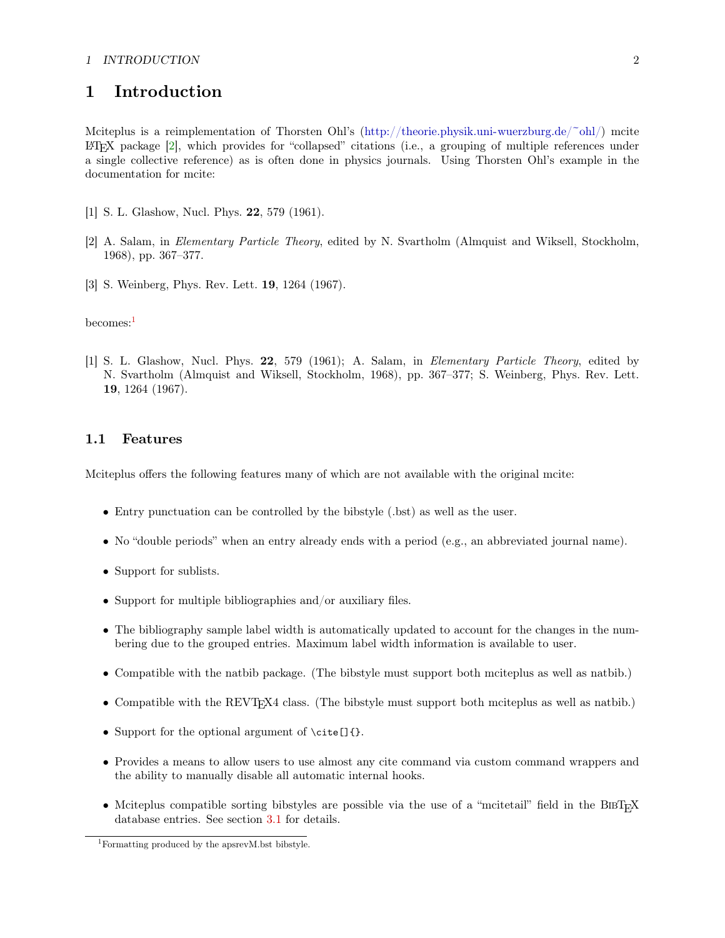## 1 INTRODUCTION 2

## <span id="page-1-0"></span>1 Introduction

Mciteplus is a reimplementation of Thorsten Ohl's [\(http://theorie.physik.uni-wuerzburg.de/~ohl/\)](http://theorie.physik.uni-wuerzburg.de/~ohl/) mcite LATEX package [\[2\]](#page-22-4), which provides for "collapsed" citations (i.e., a grouping of multiple references under a single collective reference) as is often done in physics journals. Using Thorsten Ohl's example in the documentation for mcite:

- [1] S. L. Glashow, Nucl. Phys. 22, 579 (1961).
- [2] A. Salam, in Elementary Particle Theory, edited by N. Svartholm (Almquist and Wiksell, Stockholm, 1968), pp. 367–377.
- [3] S. Weinberg, Phys. Rev. Lett. 19, 1264 (1967).

becomes:[1](#page-1-2)

[1] S. L. Glashow, Nucl. Phys. 22, 579 (1961); A. Salam, in Elementary Particle Theory, edited by N. Svartholm (Almquist and Wiksell, Stockholm, 1968), pp. 367–377; S. Weinberg, Phys. Rev. Lett. 19, 1264 (1967).

## <span id="page-1-1"></span>1.1 Features

Mciteplus offers the following features many of which are not available with the original mcite:

- Entry punctuation can be controlled by the bibstyle (.bst) as well as the user.
- No "double periods" when an entry already ends with a period (e.g., an abbreviated journal name).
- Support for sublists.
- Support for multiple bibliographies and/or auxiliary files.
- The bibliography sample label width is automatically updated to account for the changes in the numbering due to the grouped entries. Maximum label width information is available to user.
- Compatible with the natbib package. (The bibstyle must support both mciteplus as well as natbib.)
- Compatible with the REVT<sub>E</sub>X4 class. (The bibstyle must support both mciteplus as well as natbib.)
- Support for the optional argument of \cite[]{}.
- Provides a means to allow users to use almost any cite command via custom command wrappers and the ability to manually disable all automatic internal hooks.
- Mciteplus compatible sorting bibstyles are possible via the use of a "mcitetail" field in the BIBT<sub>E</sub>X database entries. See section [3.1](#page-13-0) for details.

<span id="page-1-2"></span><sup>1</sup>Formatting produced by the apsrevM.bst bibstyle.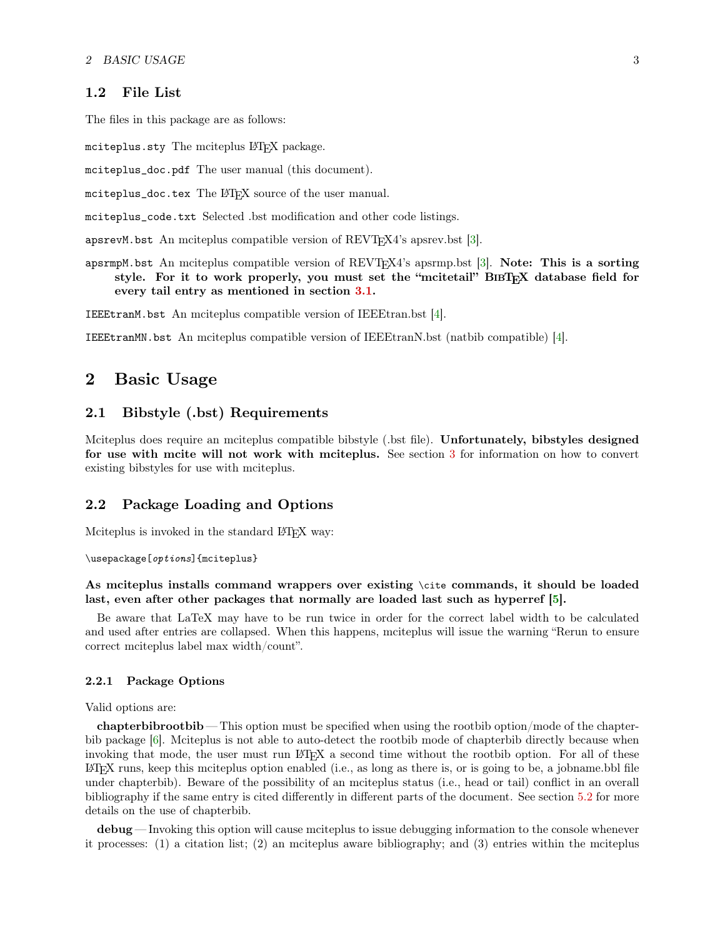### <span id="page-2-0"></span>1.2 File List

The files in this package are as follows:

mciteplus.sty The mciteplus LAT<sub>EX</sub> package.

mciteplus\_doc.pdf The user manual (this document).

mciteplus\_doc.tex The LATEX source of the user manual.

mciteplus\_code.txt Selected .bst modification and other code listings.

apsrevM.bst An mciteplus compatible version of  $REVTFX4$ 's apsrev.bst [\[3\]](#page-22-5).

apsrmpM.bst An mciteplus compatible version of REVTEX4's apsrmp.bst [\[3\]](#page-22-5). Note: This is a sorting style. For it to work properly, you must set the "mcitetail"  $\text{BIBT}_{\text{R}}X$  database field for every tail entry as mentioned in section [3.1.](#page-13-0)

IEEEtranM.bst An mciteplus compatible version of IEEEtran.bst [\[4\]](#page-22-6).

IEEEtranMN.bst An mciteplus compatible version of IEEEtranN.bst (natbib compatible) [\[4\]](#page-22-6).

## <span id="page-2-1"></span>2 Basic Usage

## <span id="page-2-2"></span>2.1 Bibstyle (.bst) Requirements

Mciteplus does require an mciteplus compatible bibstyle (.bst file). Unfortunately, bibstyles designed for use with mcite will not work with mciteplus. See section [3](#page-11-0) for information on how to convert existing bibstyles for use with mciteplus.

#### <span id="page-2-3"></span>2.2 Package Loading and Options

Mciteplus is invoked in the standard LATEX way:

\usepackage[options]{mciteplus}

As mciteplus installs command wrappers over existing \cite commands, it should be loaded last, even after other packages that normally are loaded last such as hyperref [\[5\]](#page-22-7).

Be aware that LaTeX may have to be run twice in order for the correct label width to be calculated and used after entries are collapsed. When this happens, mciteplus will issue the warning "Rerun to ensure correct mciteplus label max width/count".

#### <span id="page-2-4"></span>2.2.1 Package Options

Valid options are:

chapterbibrootbib — This option must be specified when using the rootbib option/mode of the chapterbib package [\[6\]](#page-22-8). Mciteplus is not able to auto-detect the rootbib mode of chapterbib directly because when invoking that mode, the user must run LAT<sub>EX</sub> a second time without the rootbib option. For all of these  $\angle$ ET<sub>EX</sub> runs, keep this mciteplus option enabled (i.e., as long as there is, or is going to be, a jobname.bbl file under chapterbib). Beware of the possibility of an mciteplus status (i.e., head or tail) conflict in an overall bibliography if the same entry is cited differently in different parts of the document. See section [5.2](#page-20-2) for more details on the use of chapterbib.

debug — Invoking this option will cause mciteplus to issue debugging information to the console whenever it processes: (1) a citation list; (2) an mciteplus aware bibliography; and (3) entries within the mciteplus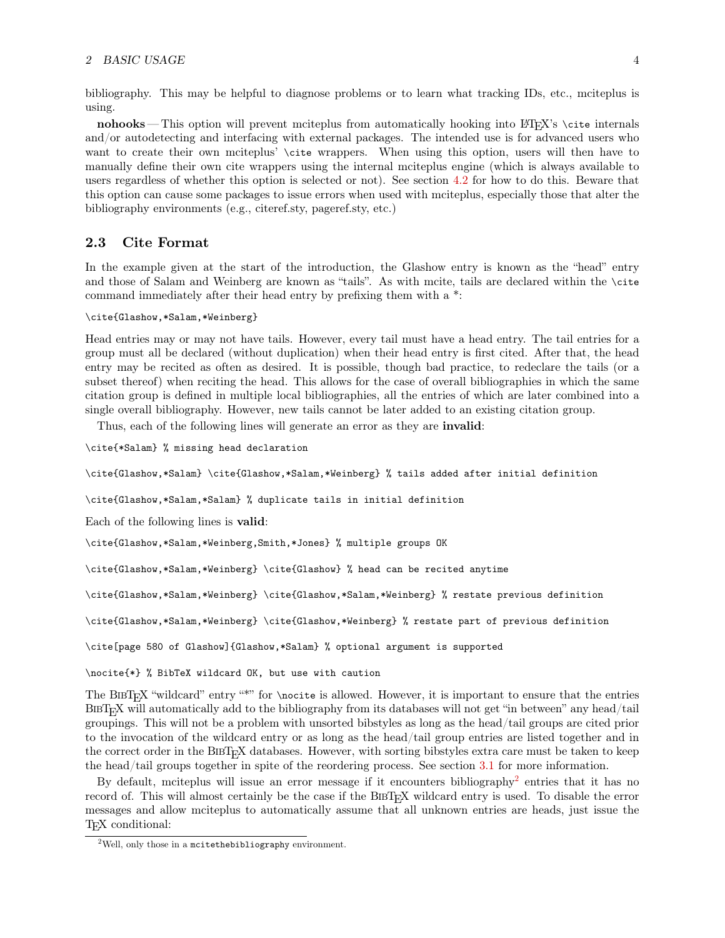#### 2 BASIC USAGE 4

bibliography. This may be helpful to diagnose problems or to learn what tracking IDs, etc., mciteplus is using.

nohooks — This option will prevent mciteplus from automatically hooking into LATEX's \cite internals and/or autodetecting and interfacing with external packages. The intended use is for advanced users who want to create their own mciteplus' \cite wrappers. When using this option, users will then have to manually define their own cite wrappers using the internal mciteplus engine (which is always available to users regardless of whether this option is selected or not). See section [4.2](#page-17-0) for how to do this. Beware that this option can cause some packages to issue errors when used with mciteplus, especially those that alter the bibliography environments (e.g., citeref.sty, pageref.sty, etc.)

## <span id="page-3-0"></span>2.3 Cite Format

In the example given at the start of the introduction, the Glashow entry is known as the "head" entry and those of Salam and Weinberg are known as "tails". As with mcite, tails are declared within the \cite command immediately after their head entry by prefixing them with a \*:

#### \cite{Glashow,\*Salam,\*Weinberg}

Head entries may or may not have tails. However, every tail must have a head entry. The tail entries for a group must all be declared (without duplication) when their head entry is first cited. After that, the head entry may be recited as often as desired. It is possible, though bad practice, to redeclare the tails (or a subset thereof) when reciting the head. This allows for the case of overall bibliographies in which the same citation group is defined in multiple local bibliographies, all the entries of which are later combined into a single overall bibliography. However, new tails cannot be later added to an existing citation group.

Thus, each of the following lines will generate an error as they are invalid:

\cite{\*Salam} % missing head declaration

\cite{Glashow,\*Salam} \cite{Glashow,\*Salam,\*Weinberg} % tails added after initial definition

\cite{Glashow,\*Salam,\*Salam} % duplicate tails in initial definition

Each of the following lines is valid:

\cite{Glashow,\*Salam,\*Weinberg,Smith,\*Jones} % multiple groups OK

\cite{Glashow,\*Salam,\*Weinberg} \cite{Glashow} % head can be recited anytime

\cite{Glashow,\*Salam,\*Weinberg} \cite{Glashow,\*Salam,\*Weinberg} % restate previous definition

\cite{Glashow,\*Salam,\*Weinberg} \cite{Glashow,\*Weinberg} % restate part of previous definition

\cite[page 580 of Glashow]{Glashow,\*Salam} % optional argument is supported

\nocite{\*} % BibTeX wildcard OK, but use with caution

The BIBT<sub>E</sub>X "wildcard" entry "\*" for \nocite is allowed. However, it is important to ensure that the entries <sup>B</sup>ibTEX will automatically add to the bibliography from its databases will not get "in between" any head/tail groupings. This will not be a problem with unsorted bibstyles as long as the head/tail groups are cited prior to the invocation of the wildcard entry or as long as the head/tail group entries are listed together and in the correct order in the BIBT<sub>E</sub>X databases. However, with sorting bibstyles extra care must be taken to keep the head/tail groups together in spite of the reordering process. See section [3.1](#page-13-0) for more information.

By default, mciteplus will issue an error message if it encounters bibliography<sup>[2](#page-3-1)</sup> entries that it has no record of. This will almost certainly be the case if the BIBT<sub>EX</sub> wildcard entry is used. To disable the error messages and allow mciteplus to automatically assume that all unknown entries are heads, just issue the T<sub>F</sub>X conditional:

<span id="page-3-1"></span><sup>&</sup>lt;sup>2</sup>Well, only those in a mcitethebibliography environment.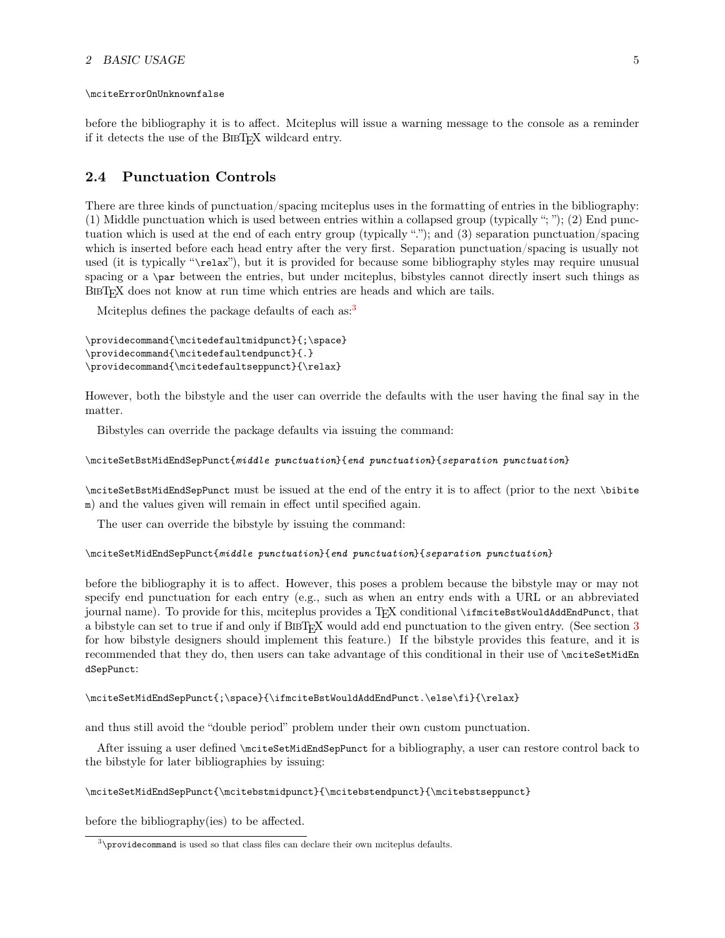#### 2 BASIC USAGE 5

#### \mciteErrorOnUnknownfalse

before the bibliography it is to affect. Mciteplus will issue a warning message to the console as a reminder if it detects the use of the BIBT<sub>E</sub>X wildcard entry.

### <span id="page-4-0"></span>2.4 Punctuation Controls

There are three kinds of punctuation/spacing mciteplus uses in the formatting of entries in the bibliography: (1) Middle punctuation which is used between entries within a collapsed group (typically "; "); (2) End punctuation which is used at the end of each entry group (typically "."); and (3) separation punctuation/spacing which is inserted before each head entry after the very first. Separation punctuation/spacing is usually not used (it is typically "\relax"), but it is provided for because some bibliography styles may require unusual spacing or a \par between the entries, but under mciteplus, bibstyles cannot directly insert such things as BIBT<sub>E</sub>X does not know at run time which entries are heads and which are tails.

Mciteplus defines the package defaults of each as:<sup>[3](#page-4-1)</sup>

```
\providecommand{\mcitedefaultmidpunct}{;\space}
\providecommand{\mcitedefaultendpunct}{.}
\providecommand{\mcitedefaultseppunct}{\relax}
```
However, both the bibstyle and the user can override the defaults with the user having the final say in the matter.

Bibstyles can override the package defaults via issuing the command:

#### \mciteSetBstMidEndSepPunct{middle punctuation}{end punctuation}{separation punctuation}

\mciteSetBstMidEndSepPunct must be issued at the end of the entry it is to affect (prior to the next \bibite m) and the values given will remain in effect until specified again.

The user can override the bibstyle by issuing the command:

#### \mciteSetMidEndSepPunct{middle punctuation}{end punctuation}{separation punctuation}

before the bibliography it is to affect. However, this poses a problem because the bibstyle may or may not specify end punctuation for each entry (e.g., such as when an entry ends with a URL or an abbreviated journal name). To provide for this, mciteplus provides a TFX conditional \ifmciteBstWouldAddEndPunct, that a bibstyle can set to true if and only if BIBT<sub>EX</sub> would add end punctuation to the given entry. (See section [3](#page-11-0) for how bibstyle designers should implement this feature.) If the bibstyle provides this feature, and it is recommended that they do, then users can take advantage of this conditional in their use of \mciteSetMidEn dSepPunct:

```
\mciteSetMidEndSepPunct{;\space}{\ifmciteBstWouldAddEndPunct.\else\fi}{\relax}
```
and thus still avoid the "double period" problem under their own custom punctuation.

After issuing a user defined \mciteSetMidEndSepPunct for a bibliography, a user can restore control back to the bibstyle for later bibliographies by issuing:

\mciteSetMidEndSepPunct{\mcitebstmidpunct}{\mcitebstendpunct}{\mcitebstseppunct}

before the bibliography(ies) to be affected.

<span id="page-4-1"></span><sup>3</sup>\providecommand is used so that class files can declare their own mciteplus defaults.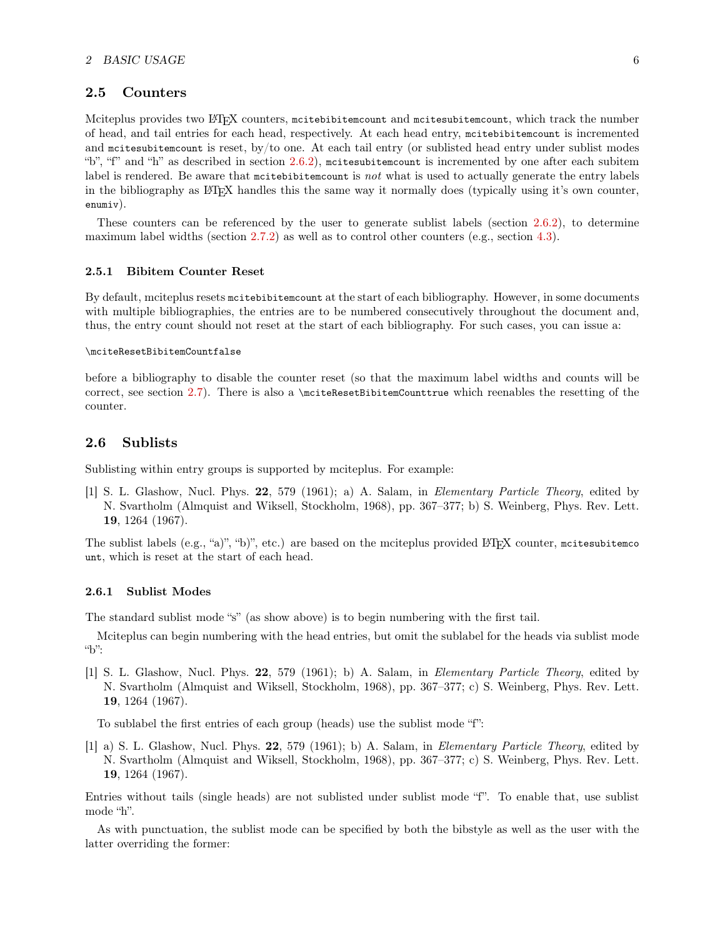#### <span id="page-5-0"></span>2.5 Counters

Mciteplus provides two LATEX counters, mcitebibitemcount and mcitesubitemcount, which track the number of head, and tail entries for each head, respectively. At each head entry, mcitebibitemcount is incremented and mcitesubitemcount is reset, by/to one. At each tail entry (or sublisted head entry under sublist modes "b", "f" and "h" as described in section [2.6.2\)](#page-6-0), mcitesubitemcount is incremented by one after each subitem label is rendered. Be aware that mcitebibitemcount is not what is used to actually generate the entry labels in the bibliography as LATEX handles this the same way it normally does (typically using it's own counter, enumiv).

These counters can be referenced by the user to generate sublist labels (section [2.6.2\)](#page-6-0), to determine maximum label widths (section [2.7.2\)](#page-8-2) as well as to control other counters (e.g., section [4.3\)](#page-19-0).

#### <span id="page-5-1"></span>2.5.1 Bibitem Counter Reset

By default, mciteplus resets mcitebibitemcount at the start of each bibliography. However, in some documents with multiple bibliographies, the entries are to be numbered consecutively throughout the document and, thus, the entry count should not reset at the start of each bibliography. For such cases, you can issue a:

#### \mciteResetBibitemCountfalse

before a bibliography to disable the counter reset (so that the maximum label widths and counts will be correct, see section [2.7\)](#page-8-0). There is also a \mciteResetBibitemCounttrue which reenables the resetting of the counter.

## <span id="page-5-2"></span>2.6 Sublists

Sublisting within entry groups is supported by mciteplus. For example:

[1] S. L. Glashow, Nucl. Phys. 22, 579 (1961); a) A. Salam, in Elementary Particle Theory, edited by N. Svartholm (Almquist and Wiksell, Stockholm, 1968), pp. 367–377; b) S. Weinberg, Phys. Rev. Lett. 19, 1264 (1967).

The sublist labels (e.g., "a)", "b)", etc.) are based on the mciteplus provided LATEX counter, mcitesubitemco unt, which is reset at the start of each head.

#### <span id="page-5-3"></span>2.6.1 Sublist Modes

The standard sublist mode "s" (as show above) is to begin numbering with the first tail.

Mciteplus can begin numbering with the head entries, but omit the sublabel for the heads via sublist mode "b":

[1] S. L. Glashow, Nucl. Phys. 22, 579 (1961); b) A. Salam, in Elementary Particle Theory, edited by N. Svartholm (Almquist and Wiksell, Stockholm, 1968), pp. 367–377; c) S. Weinberg, Phys. Rev. Lett. 19, 1264 (1967).

To sublabel the first entries of each group (heads) use the sublist mode "f":

[1] a) S. L. Glashow, Nucl. Phys. 22, 579 (1961); b) A. Salam, in Elementary Particle Theory, edited by N. Svartholm (Almquist and Wiksell, Stockholm, 1968), pp. 367–377; c) S. Weinberg, Phys. Rev. Lett. 19, 1264 (1967).

Entries without tails (single heads) are not sublisted under sublist mode "f". To enable that, use sublist mode "h".

As with punctuation, the sublist mode can be specified by both the bibstyle as well as the user with the latter overriding the former: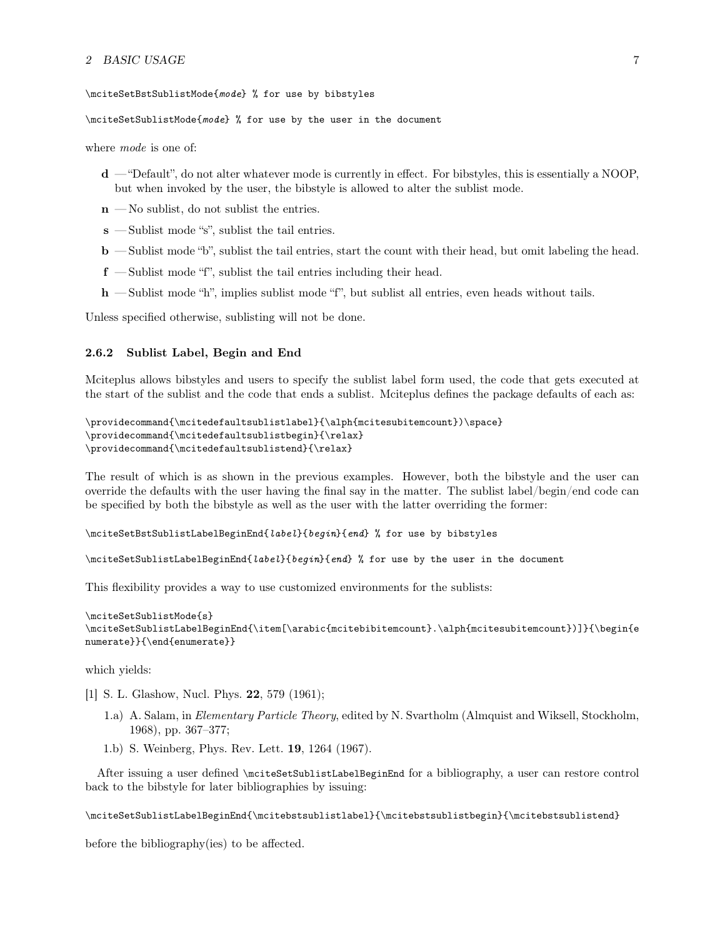#### 2 BASIC USAGE 7

\mciteSetBstSublistMode{mode} % for use by bibstyles

\mciteSetSublistMode{mode} % for use by the user in the document

where *mode* is one of:

- d "Default", do not alter whatever mode is currently in effect. For bibstyles, this is essentially a NOOP, but when invoked by the user, the bibstyle is allowed to alter the sublist mode.
- $n$  No sublist, do not sublist the entries.
- s Sublist mode "s", sublist the tail entries.
- b Sublist mode "b", sublist the tail entries, start the count with their head, but omit labeling the head.
- f Sublist mode "f", sublist the tail entries including their head.
- h Sublist mode "h", implies sublist mode "f", but sublist all entries, even heads without tails.

Unless specified otherwise, sublisting will not be done.

#### <span id="page-6-0"></span>2.6.2 Sublist Label, Begin and End

Mciteplus allows bibstyles and users to specify the sublist label form used, the code that gets executed at the start of the sublist and the code that ends a sublist. Mciteplus defines the package defaults of each as:

```
\providecommand{\mcitedefaultsublistlabel}{\alph{mcitesubitemcount})\space}
\providecommand{\mcitedefaultsublistbegin}{\relax}
\providecommand{\mcitedefaultsublistend}{\relax}
```
The result of which is as shown in the previous examples. However, both the bibstyle and the user can override the defaults with the user having the final say in the matter. The sublist label/begin/end code can be specified by both the bibstyle as well as the user with the latter overriding the former:

```
\mciteSetBstSublistLabelBeginEnd{label}{begin}{end} % for use by bibstyles
```
\mciteSetSublistLabelBeginEnd{label}{begin}{end} % for use by the user in the document

This flexibility provides a way to use customized environments for the sublists:

```
\mciteSetSublistMode{s}
\mciteSetSublistLabelBeginEnd{\item[\arabic{mcitebibitemcount}.\alph{mcitesubitemcount})]}{\begin{e
numerate}}{\end{enumerate}}
```
which yields:

- [1] S. L. Glashow, Nucl. Phys. **22**, 579 (1961);
	- 1.a) A. Salam, in Elementary Particle Theory, edited by N. Svartholm (Almquist and Wiksell, Stockholm, 1968), pp. 367–377;
	- 1.b) S. Weinberg, Phys. Rev. Lett. 19, 1264 (1967).

After issuing a user defined \mciteSetSublistLabelBeginEnd for a bibliography, a user can restore control back to the bibstyle for later bibliographies by issuing:

\mciteSetSublistLabelBeginEnd{\mcitebstsublistlabel}{\mcitebstsublistbegin}{\mcitebstsublistend}

before the bibliography(ies) to be affected.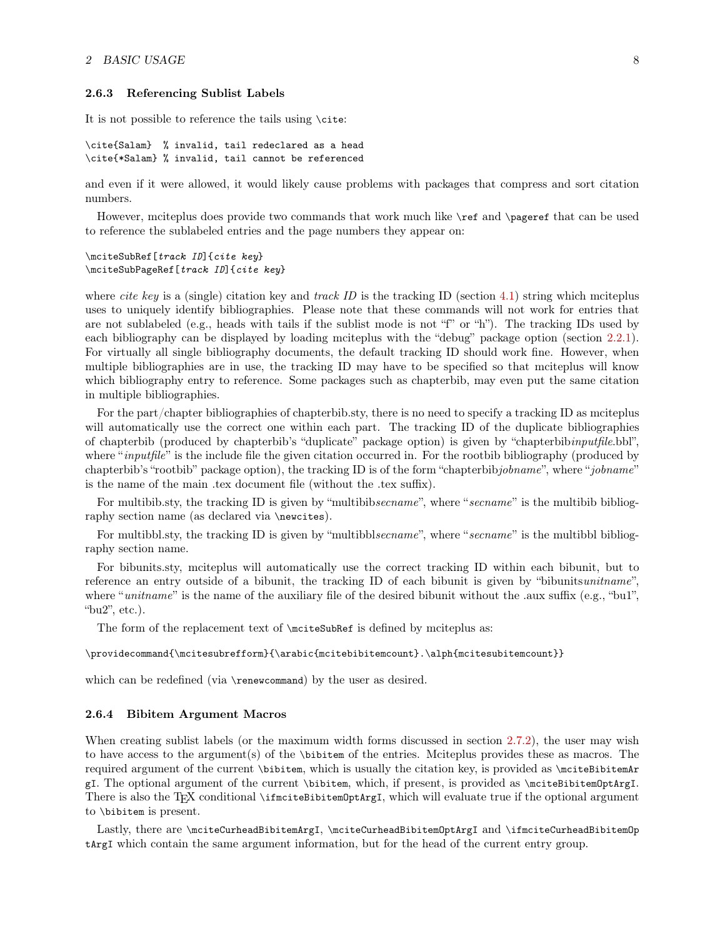#### <span id="page-7-0"></span>2.6.3 Referencing Sublist Labels

It is not possible to reference the tails using \cite:

```
\cite{Salam} % invalid, tail redeclared as a head
\cite{*Salam} % invalid, tail cannot be referenced
```
and even if it were allowed, it would likely cause problems with packages that compress and sort citation numbers.

However, mciteplus does provide two commands that work much like \ref and \pageref that can be used to reference the sublabeled entries and the page numbers they appear on:

\mciteSubRef[track ID]{cite key} \mciteSubPageRef[track ID]{cite key}

where *cite key* is a (single) citation key and *track ID* is the tracking ID (section [4.1\)](#page-16-1) string which mciteplus uses to uniquely identify bibliographies. Please note that these commands will not work for entries that are not sublabeled (e.g., heads with tails if the sublist mode is not "f" or "h"). The tracking IDs used by each bibliography can be displayed by loading mciteplus with the "debug" package option (section [2.2.1\)](#page-2-4). For virtually all single bibliography documents, the default tracking ID should work fine. However, when multiple bibliographies are in use, the tracking ID may have to be specified so that mciteplus will know which bibliography entry to reference. Some packages such as chapterbib, may even put the same citation in multiple bibliographies.

For the part/chapter bibliographies of chapterbib.sty, there is no need to specify a tracking ID as mciteplus will automatically use the correct one within each part. The tracking ID of the duplicate bibliographies of chapterbib (produced by chapterbib's "duplicate" package option) is given by "chapterbibinputfile.bbl", where "*inputfile*" is the include file the given citation occurred in. For the rootbib bibliography (produced by chapterbib's "rootbib" package option), the tracking ID is of the form "chapterbibjobname", where "jobname" is the name of the main .tex document file (without the .tex suffix).

For multibib.sty, the tracking ID is given by "multibibsecname", where "secname" is the multibib bibliography section name (as declared via \newcites).

For multibbl.sty, the tracking ID is given by "multibblsecname", where "secname" is the multibbl bibliography section name.

For bibunits.sty, mciteplus will automatically use the correct tracking ID within each bibunit, but to reference an entry outside of a bibunit, the tracking ID of each bibunit is given by "bibunitsunitname". where "*unitname*" is the name of the auxiliary file of the desired bibunit without the .aux suffix (e.g., "bu1", "bu2", etc.).

The form of the replacement text of \mciteSubRef is defined by mciteplus as:

\providecommand{\mcitesubrefform}{\arabic{mcitebibitemcount}.\alph{mcitesubitemcount}}

which can be redefined (via \renewcommand) by the user as desired.

#### <span id="page-7-1"></span>2.6.4 Bibitem Argument Macros

When creating sublist labels (or the maximum width forms discussed in section [2.7.2\)](#page-8-2), the user may wish to have access to the argument(s) of the \bibitem of the entries. Mciteplus provides these as macros. The required argument of the current \bibitem, which is usually the citation key, is provided as \mciteBibitemAr gI. The optional argument of the current \bibitem, which, if present, is provided as \mciteBibitemOptArgI. There is also the T<sub>E</sub>X conditional \ifmciteBibitemOptArgI, which will evaluate true if the optional argument to \bibitem is present.

Lastly, there are \mciteCurheadBibitemArgI, \mciteCurheadBibitemOptArgI and \ifmciteCurheadBibitemOp tArgI which contain the same argument information, but for the head of the current entry group.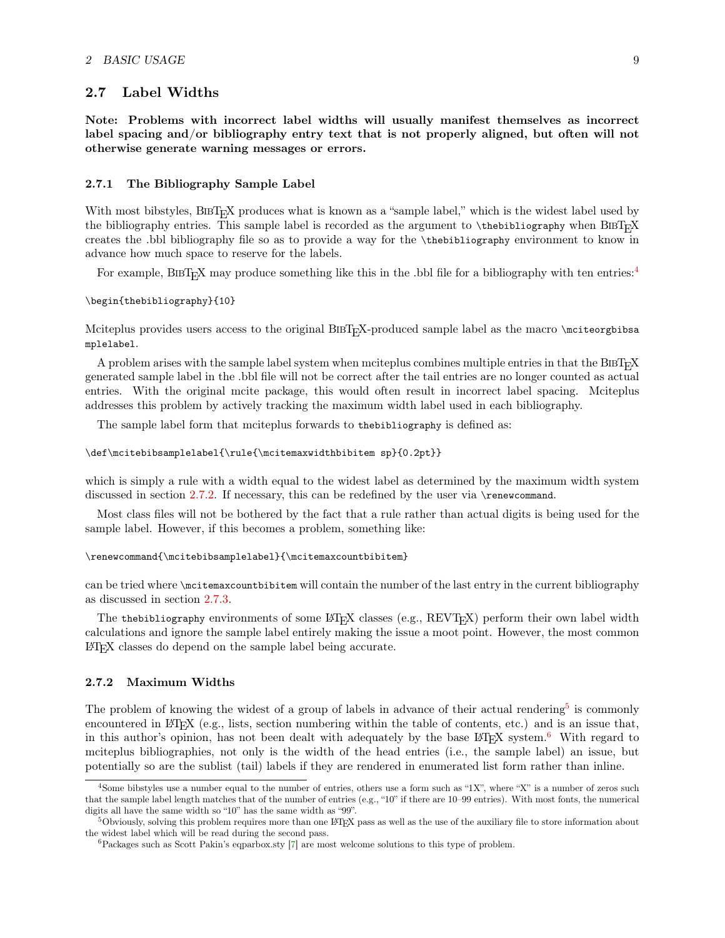## <span id="page-8-0"></span>2.7 Label Widths

Note: Problems with incorrect label widths will usually manifest themselves as incorrect label spacing and/or bibliography entry text that is not properly aligned, but often will not otherwise generate warning messages or errors.

#### <span id="page-8-1"></span>2.7.1 The Bibliography Sample Label

With most bibstyles, BIBT<sub>E</sub>X produces what is known as a "sample label," which is the widest label used by the bibliography entries. This sample label is recorded as the argument to  $\theta$  the bibliography when BiBT<sub>E</sub>X creates the .bbl bibliography file so as to provide a way for the \thebibliography environment to know in advance how much space to reserve for the labels.

For example, BIBT<sub>E</sub>X may produce something like this in the .bbl file for a bibliography with ten entries:<sup>[4](#page-8-3)</sup>

\begin{thebibliography}{10}

Mciteplus provides users access to the original BIBT<sub>EX</sub>-produced sample label as the macro \mciteorgbibsa mplelabel.

A problem arises with the sample label system when mciteplus combines multiple entries in that the BIBT<sub>E</sub>X generated sample label in the .bbl file will not be correct after the tail entries are no longer counted as actual entries. With the original mcite package, this would often result in incorrect label spacing. Mciteplus addresses this problem by actively tracking the maximum width label used in each bibliography.

The sample label form that mciteplus forwards to thebibliography is defined as:

\def\mcitebibsamplelabel{\rule{\mcitemaxwidthbibitem sp}{0.2pt}}

which is simply a rule with a width equal to the widest label as determined by the maximum width system discussed in section [2.7.2.](#page-8-2) If necessary, this can be redefined by the user via \renewcommand.

Most class files will not be bothered by the fact that a rule rather than actual digits is being used for the sample label. However, if this becomes a problem, something like:

\renewcommand{\mcitebibsamplelabel}{\mcitemaxcountbibitem}

can be tried where \mcitemaxcountbibitem will contain the number of the last entry in the current bibliography as discussed in section [2.7.3.](#page-10-0)

The thebibliography environments of some  $\mathbb{F} \mathbb{F} \mathbb{F} \mathbb{F}$  classes (e.g., REVT $\mathbb{F} \mathbb{X}$ ) perform their own label width calculations and ignore the sample label entirely making the issue a moot point. However, the most common LATEX classes do depend on the sample label being accurate.

#### <span id="page-8-2"></span>2.7.2 Maximum Widths

The problem of knowing the widest of a group of labels in advance of their actual rendering<sup>[5](#page-8-4)</sup> is commonly encountered in LAT<sub>E</sub>X (e.g., lists, section numbering within the table of contents, etc.) and is an issue that, in this author's opinion, has not been dealt with adequately by the base  $\mathbb{F}T\mathbb{F}X$  system.<sup>[6](#page-8-5)</sup> With regard to mciteplus bibliographies, not only is the width of the head entries (i.e., the sample label) an issue, but potentially so are the sublist (tail) labels if they are rendered in enumerated list form rather than inline.

<span id="page-8-3"></span> $4$ Some bibstyles use a number equal to the number of entries, others use a form such as "1X", where "X" is a number of zeros such that the sample label length matches that of the number of entries (e.g., "10" if there are 10–99 entries). With most fonts, the numerical digits all have the same width so "10" has the same width as "99".

<span id="page-8-4"></span> $5$ Obviously, solving this problem requires more than one LATEX pass as well as the use of the auxiliary file to store information about the widest label which will be read during the second pass.

<span id="page-8-5"></span> ${}^{6}$ Packages such as Scott Pakin's eqparbox.sty [\[7\]](#page-22-9) are most welcome solutions to this type of problem.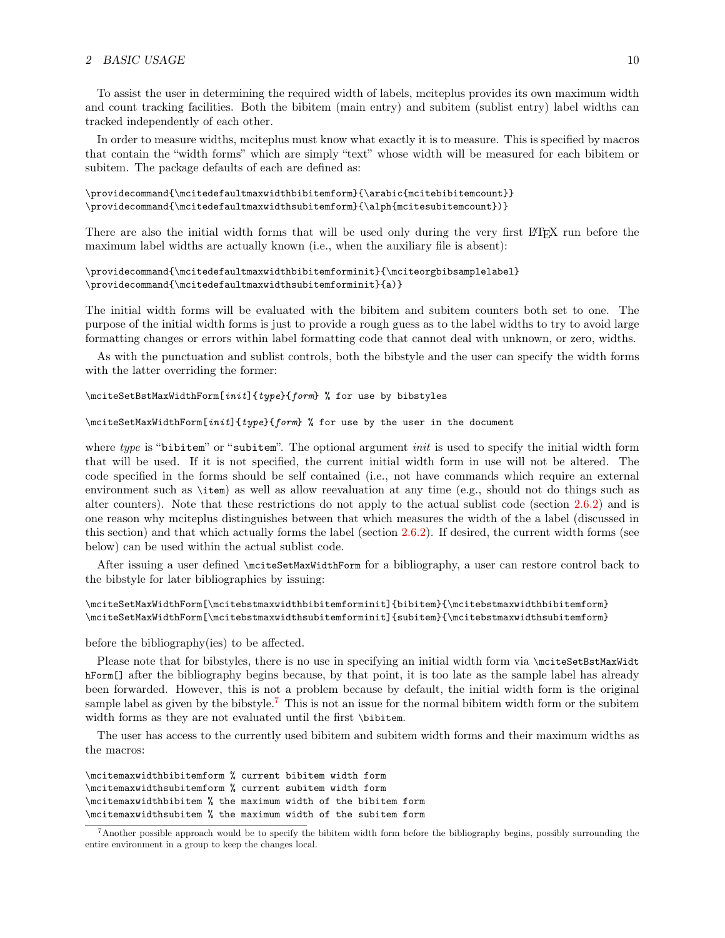#### 2 BASIC USAGE  $10$

To assist the user in determining the required width of labels, mciteplus provides its own maximum width and count tracking facilities. Both the bibitem (main entry) and subitem (sublist entry) label widths can tracked independently of each other.

In order to measure widths, mciteplus must know what exactly it is to measure. This is specified by macros that contain the "width forms" which are simply "text" whose width will be measured for each bibitem or subitem. The package defaults of each are defined as:

```
\providecommand{\mcitedefaultmaxwidthbibitemform}{\arabic{mcitebibitemcount}}
\proptodecommand{\mcitedefaultmaxwidthsubitemform}{\alph{mcitesubitemcount}}}
```
There are also the initial width forms that will be used only during the very first LATEX run before the maximum label widths are actually known (i.e., when the auxiliary file is absent):

```
\providecommand{\mcitedefaultmaxwidthbibitemforminit}{\mciteorgbibsamplelabel}
\providecommand{\mcitedefaultmaxwidthsubitemforminit}{a)}
```
The initial width forms will be evaluated with the bibitem and subitem counters both set to one. The purpose of the initial width forms is just to provide a rough guess as to the label widths to try to avoid large formatting changes or errors within label formatting code that cannot deal with unknown, or zero, widths.

As with the punctuation and sublist controls, both the bibstyle and the user can specify the width forms with the latter overriding the former:

```
\mciteSetBstMaxWidthForm[init]{type}{form} % for use by bibstyles
```

```
\mciteSetMaxWidthForm[init]{type}{form} % for use by the user in the document
```
where type is "bibitem" or "subitem". The optional argument *init* is used to specify the initial width form that will be used. If it is not specified, the current initial width form in use will not be altered. The code specified in the forms should be self contained (i.e., not have commands which require an external environment such as \item) as well as allow reevaluation at any time (e.g., should not do things such as alter counters). Note that these restrictions do not apply to the actual sublist code (section [2.6.2\)](#page-6-0) and is one reason why mciteplus distinguishes between that which measures the width of the a label (discussed in this section) and that which actually forms the label (section [2.6.2\)](#page-6-0). If desired, the current width forms (see below) can be used within the actual sublist code.

After issuing a user defined \mciteSetMaxWidthForm for a bibliography, a user can restore control back to the bibstyle for later bibliographies by issuing:

```
\mciteSetMaxWidthForm[\mcitebstmaxwidthbibitemforminit]{bibitem}{\mcitebstmaxwidthbibitemform}
\mciteSetMaxWidthForm[\mcitebstmaxwidthsubitemforminit]{subitem}{\mcitebstmaxwidthsubitemform}
```
before the bibliography(ies) to be affected.

Please note that for bibstyles, there is no use in specifying an initial width form via \mciteSetBstMaxWidt hForm[] after the bibliography begins because, by that point, it is too late as the sample label has already been forwarded. However, this is not a problem because by default, the initial width form is the original sample label as given by the bibstyle.<sup>[7](#page-9-0)</sup> This is not an issue for the normal bibitem width form or the subitem width forms as they are not evaluated until the first \bibitem.

The user has access to the currently used bibitem and subitem width forms and their maximum widths as the macros:

\mcitemaxwidthbibitemform % current bibitem width form \mcitemaxwidthsubitemform % current subitem width form \mcitemaxwidthbibitem % the maximum width of the bibitem form \mcitemaxwidthsubitem % the maximum width of the subitem form

<span id="page-9-0"></span><sup>7</sup>Another possible approach would be to specify the bibitem width form before the bibliography begins, possibly surrounding the entire environment in a group to keep the changes local.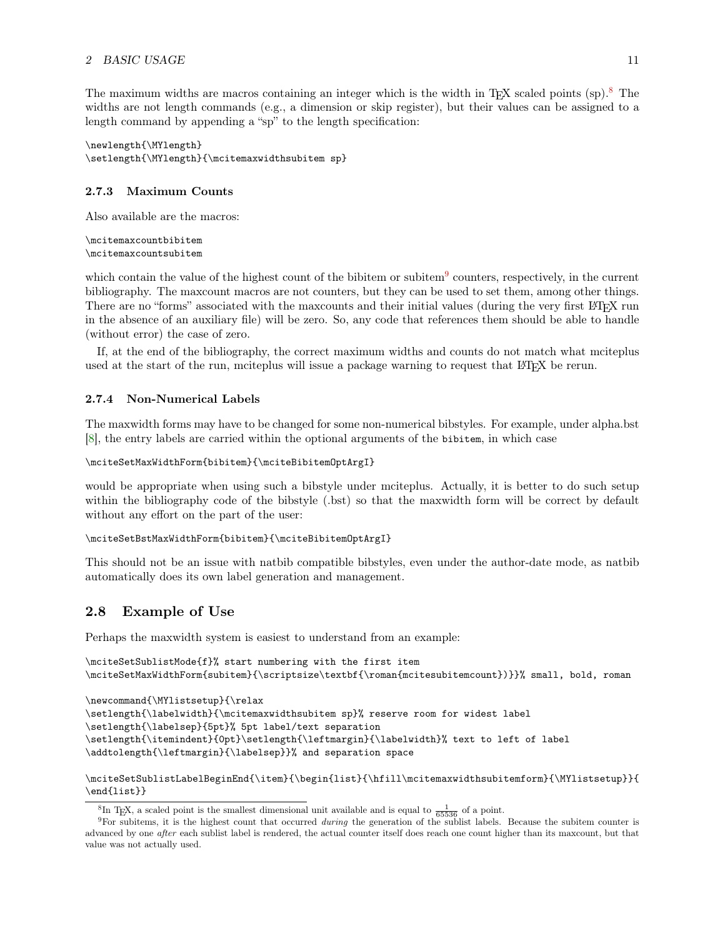The maximum widths are macros containing an integer which is the width in TFX scaled points  $(\text{sp})^8$  $(\text{sp})^8$ . The widths are not length commands (e.g., a dimension or skip register), but their values can be assigned to a length command by appending a "sp" to the length specification:

```
\newlength{\MYlength}
\setlength{\MYlength}{\mcitemaxwidthsubitem sp}
```
#### <span id="page-10-0"></span>2.7.3 Maximum Counts

Also available are the macros:

```
\mcitemaxcountbibitem
\mcitemaxcountsubitem
```
which contain the value of the highest count of the bibitem or subitem<sup>[9](#page-10-4)</sup> counters, respectively, in the current bibliography. The maxcount macros are not counters, but they can be used to set them, among other things. There are no "forms" associated with the maxcounts and their initial values (during the very first LATEX run in the absence of an auxiliary file) will be zero. So, any code that references them should be able to handle (without error) the case of zero.

If, at the end of the bibliography, the correct maximum widths and counts do not match what mciteplus used at the start of the run, mciteplus will issue a package warning to request that LATEX be rerun.

#### <span id="page-10-1"></span>2.7.4 Non-Numerical Labels

The maxwidth forms may have to be changed for some non-numerical bibstyles. For example, under alpha.bst [\[8\]](#page-22-10), the entry labels are carried within the optional arguments of the bibitem, in which case

```
\mciteSetMaxWidthForm{bibitem}{\mciteBibitemOptArgI}
```
would be appropriate when using such a bibstyle under mciteplus. Actually, it is better to do such setup within the bibliography code of the bibstyle (.bst) so that the maxwidth form will be correct by default without any effort on the part of the user:

```
\mciteSetBstMaxWidthForm{bibitem}{\mciteBibitemOptArgI}
```
This should not be an issue with natbib compatible bibstyles, even under the author-date mode, as natbib automatically does its own label generation and management.

## <span id="page-10-2"></span>2.8 Example of Use

Perhaps the maxwidth system is easiest to understand from an example:

```
\mciteSetSublistMode{f}% start numbering with the first item
\mciteSetMaxWidthForm{subitem}{\scriptsize\textbf{\roman{mcitesubitemcount})}}% small, bold, roman
```

```
\newcommand{\MYlistsetup}{\relax
```

```
\setlength{\labelwidth}{\mcitemaxwidthsubitem sp}% reserve room for widest label
\setlength{\labelsep}{5pt}% 5pt label/text separation
\setlength{\itemindent}{0pt}\setlength{\leftmargin}{\labelwidth}% text to left of label
\addtolength{\leftmargin}{\labelsep}}% and separation space
```
\mciteSetSublistLabelBeginEnd{\item}{\begin{list}{\hfill\mcitemaxwidthsubitemform}{\MYlistsetup}}{ \end{list}}

<span id="page-10-4"></span><span id="page-10-3"></span><sup>&</sup>lt;sup>8</sup>In T<sub>E</sub>X, a scaled point is the smallest dimensional unit available and is equal to  $\frac{1}{65536}$  of a point.

 $9$ For subitems, it is the highest count that occurred *during* the generation of the sublist labels. Because the subitem counter is advanced by one after each sublist label is rendered, the actual counter itself does reach one count higher than its maxcount, but that value was not actually used.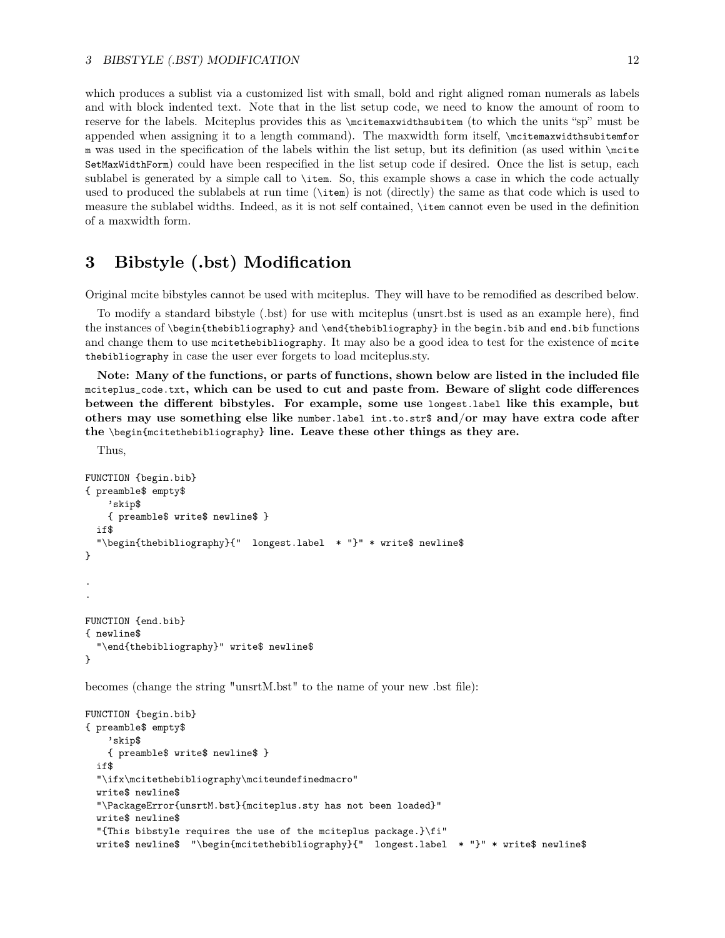which produces a sublist via a customized list with small, bold and right aligned roman numerals as labels and with block indented text. Note that in the list setup code, we need to know the amount of room to reserve for the labels. Mciteplus provides this as \mcitemaxwidthsubitem (to which the units "sp" must be appended when assigning it to a length command). The maxwidth form itself, \mcitemaxwidthsubitemfor m was used in the specification of the labels within the list setup, but its definition (as used within \mcite SetMaxWidthForm) could have been respecified in the list setup code if desired. Once the list is setup, each sublabel is generated by a simple call to \item. So, this example shows a case in which the code actually used to produced the sublabels at run time (\item) is not (directly) the same as that code which is used to measure the sublabel widths. Indeed, as it is not self contained, \item cannot even be used in the definition of a maxwidth form.

## <span id="page-11-0"></span>3 Bibstyle (.bst) Modification

Original mcite bibstyles cannot be used with mciteplus. They will have to be remodified as described below.

To modify a standard bibstyle (.bst) for use with mciteplus (unsrt.bst is used as an example here), find the instances of \begin{thebibliography} and \end{thebibliography} in the begin.bib and end.bib functions and change them to use mcitethebibliography. It may also be a good idea to test for the existence of mcite thebibliography in case the user ever forgets to load mciteplus.sty.

Note: Many of the functions, or parts of functions, shown below are listed in the included file mciteplus\_code.txt, which can be used to cut and paste from. Beware of slight code differences between the different bibstyles. For example, some use longest.label like this example, but others may use something else like number.label int.to.str\$ and/or may have extra code after the \begin{mcitethebibliography} line. Leave these other things as they are.

Thus,

```
FUNCTION {begin.bib}
{ preamble$ empty$
    'skip$
    { preamble$ write$ newline$ }
 if$
  "\begin{thebibliography}{" longest.label * "}" * write$ newline$
}
.
.
FUNCTION {end.bib}
{ newline$
  "\end{thebibliography}" write$ newline$
}
```
becomes (change the string "unsrtM.bst" to the name of your new .bst file):

```
FUNCTION {begin.bib}
{ preamble$ empty$
    'skip$
    { preamble$ write$ newline$ }
  if$
  "\ifx\mcitethebibliography\mciteundefinedmacro"
  write$ newline$
  "\PackageError{unsrtM.bst}{mciteplus.sty has not been loaded}"
  write$ newline$
  "{This bibstyle requires the use of the mciteplus package.}\fi"
  write$ newline$ "\begin{mcitethebibliography}{" longest.label * "}" * write$ newline$
```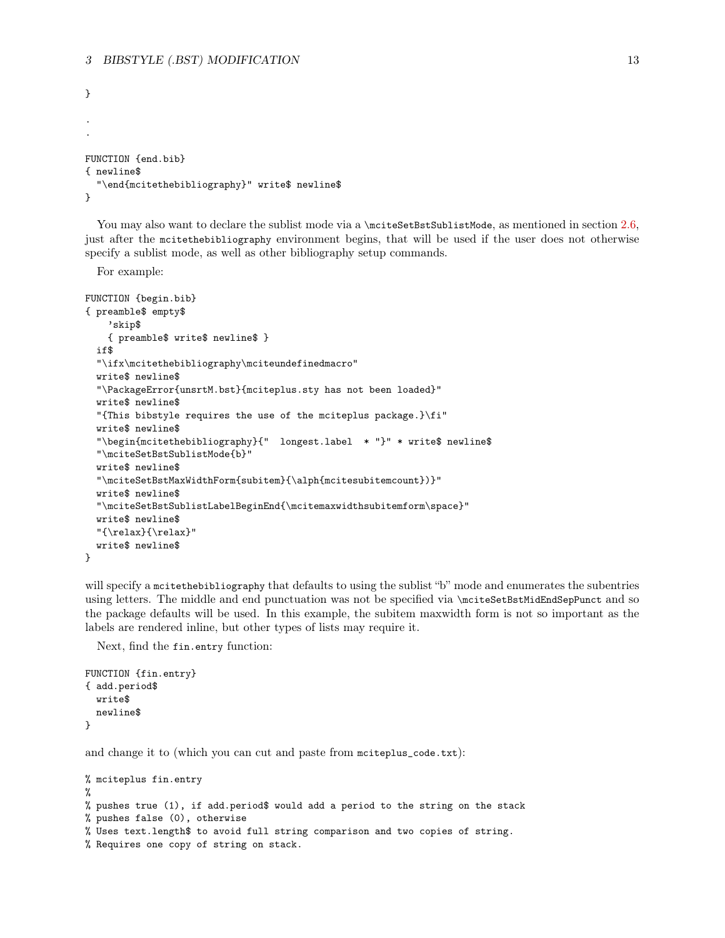```
}
.
.
FUNCTION {end.bib}
{ newline$
  "\end{mcitethebibliography}" write$ newline$
}
```
You may also want to declare the sublist mode via a \mciteSetBstSublistMode, as mentioned in section [2.6,](#page-5-2) just after the mcitethebibliography environment begins, that will be used if the user does not otherwise specify a sublist mode, as well as other bibliography setup commands.

For example:

```
FUNCTION {begin.bib}
{ preamble$ empty$
    'skip$
    { preamble$ write$ newline$ }
  if$
  "\ifx\mcitethebibliography\mciteundefinedmacro"
  write$ newline$
  "\PackageError{unsrtM.bst}{mciteplus.sty has not been loaded}"
  write$ newline$
  "{This bibstyle requires the use of the mciteplus package.}\fi"
  write$ newline$
  "\begin{mcitethebibliography}{" longest.label * "}" * write$ newline$
  "\mciteSetBstSublistMode{b}"
  write$ newline$
  "\mciteSetBstMaxWidthForm{subitem}{\alph{mcitesubitemcount})}"
  write$ newline$
  "\mciteSetBstSublistLabelBeginEnd{\mcitemaxwidthsubitemform\space}"
 write$ newline$
  "{\relax}{\relax}"
 write$ newline$
}
```
will specify a mcitethebibliography that defaults to using the sublist "b" mode and enumerates the subentries using letters. The middle and end punctuation was not be specified via \mciteSetBstMidEndSepPunct and so the package defaults will be used. In this example, the subitem maxwidth form is not so important as the labels are rendered inline, but other types of lists may require it.

Next, find the fin.entry function:

```
FUNCTION {fin.entry}
{ add.period$
  write$
  newline$
}
```
and change it to (which you can cut and paste from mciteplus\_code.txt):

```
% mciteplus fin.entry
%
% pushes true (1), if add.period$ would add a period to the string on the stack
% pushes false (0), otherwise
% Uses text.length$ to avoid full string comparison and two copies of string.
% Requires one copy of string on stack.
```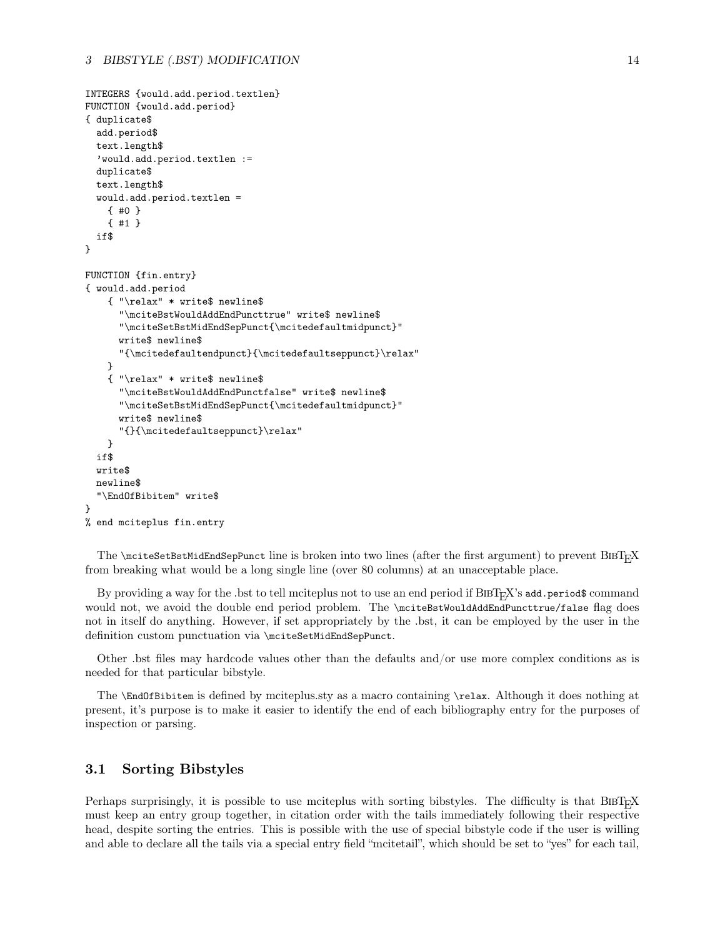```
INTEGERS {would.add.period.textlen}
FUNCTION {would.add.period}
{ duplicate$
 add.period$
 text.length$
  'would.add.period.textlen :=
 duplicate$
 text.length$
 would.add.period.textlen =
    { #0 }
    { #1 }
 if$
}
FUNCTION {fin.entry}
{ would.add.period
    { "\relax" * write$ newline$
      "\mciteBstWouldAddEndPuncttrue" write$ newline$
      "\mciteSetBstMidEndSepPunct{\mcitedefaultmidpunct}"
      write$ newline$
      "{\mcitedefaultendpunct}{\mcitedefaultseppunct}\relax"
    }
    { "\relax" * write$ newline$
      "\mciteBstWouldAddEndPunctfalse" write$ newline$
      "\mciteSetBstMidEndSepPunct{\mcitedefaultmidpunct}"
      write$ newline$
      "{}{\mcitedefaultseppunct}\relax"
    }
  if$
 write$
 newline$
  "\EndOfBibitem" write$
}
% end mciteplus fin.entry
```
The  $\text{SetBstMidEndSepPunct line}$  is broken into two lines (after the first argument) to prevent  $\text{BIBT}_{\text{F}}X$ from breaking what would be a long single line (over 80 columns) at an unacceptable place.

By providing a way for the .bst to tell mciteplus not to use an end period if  $BIBT_FX$ 's add.period\$ command would not, we avoid the double end period problem. The \mciteBstWouldAddEndPuncttrue/false flag does not in itself do anything. However, if set appropriately by the .bst, it can be employed by the user in the definition custom punctuation via \mciteSetMidEndSepPunct.

Other .bst files may hardcode values other than the defaults and/or use more complex conditions as is needed for that particular bibstyle.

The \EndOfBibitem is defined by mciteplus.sty as a macro containing \relax. Although it does nothing at present, it's purpose is to make it easier to identify the end of each bibliography entry for the purposes of inspection or parsing.

## <span id="page-13-0"></span>3.1 Sorting Bibstyles

Perhaps surprisingly, it is possible to use mciteplus with sorting bibstyles. The difficulty is that BIBT<sub>E</sub>X must keep an entry group together, in citation order with the tails immediately following their respective head, despite sorting the entries. This is possible with the use of special bibstyle code if the user is willing and able to declare all the tails via a special entry field "mcitetail", which should be set to "yes" for each tail,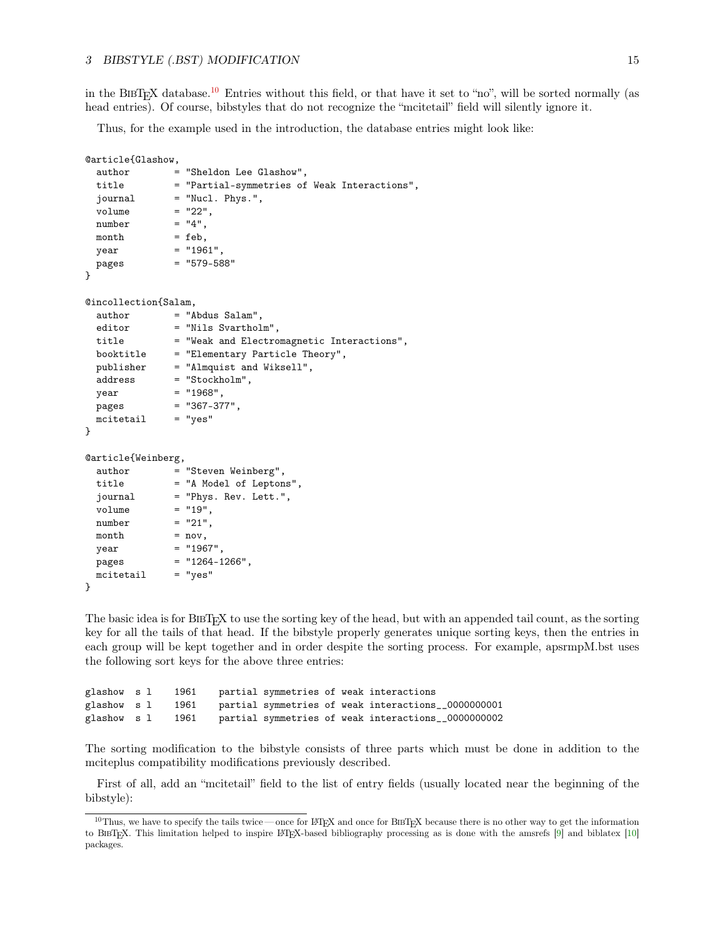in the BIBT<sub>E</sub>X database.<sup>[10](#page-14-0)</sup> Entries without this field, or that have it set to "no", will be sorted normally (as head entries). Of course, bibstyles that do not recognize the "mcitetail" field will silently ignore it.

Thus, for the example used in the introduction, the database entries might look like:

```
@article{Glashow,
 author = "Sheldon Lee Glashow",
 title = "Partial-symmetries of Weak Interactions",
 journal = "Nucl. Phys.",
 volume = "22",number = "4",month = feb,year = "1961"pages = "579-588"
}
@incollection{Salam,
 author = "Abdus Salam",
 editor = "Nils Svartholm",
 title = "Weak and Electromagnetic Interactions",
 booktitle = "Elementary Particle Theory",
 publisher = "Almquist and Wiksell",
 address = "Stockholm",
 year = "1968",pages = "367-377",
 \text{mcitetail} = "yes"
}
@article{Weinberg,
 author = "Steven Weinberg",
 title = "A Model of Leptons",
 journal = "Phys. Rev. Lett.",
 volume = "19",number = "21",month = nov,year = "1967",pages = "1264-1266",mcitetail = "yes"
}
```
The basic idea is for BIBT<sub>EX</sub>X to use the sorting key of the head, but with an appended tail count, as the sorting key for all the tails of that head. If the bibstyle properly generates unique sorting keys, then the entries in each group will be kept together and in order despite the sorting process. For example, apsrmpM.bst uses the following sort keys for the above three entries:

```
glashow s l 1961 partial symmetries of weak interactions
glashow s l 1961 partial symmetries of weak interactions__0000000001
glashow s l 1961 partial symmetries of weak interactions__0000000002
```
The sorting modification to the bibstyle consists of three parts which must be done in addition to the mciteplus compatibility modifications previously described.

First of all, add an "mcitetail" field to the list of entry fields (usually located near the beginning of the bibstyle):

<span id="page-14-0"></span> $10$ Thus, we have to specify the tails twice — once for L<sup>T</sup>EX and once for BIET<sub>E</sub>X because there is no other way to get the information to BibTEX. This limitation helped to inspire LATEX-based bibliography processing as is done with the amsrefs [\[9\]](#page-22-11) and biblatex [\[10\]](#page-22-12) packages.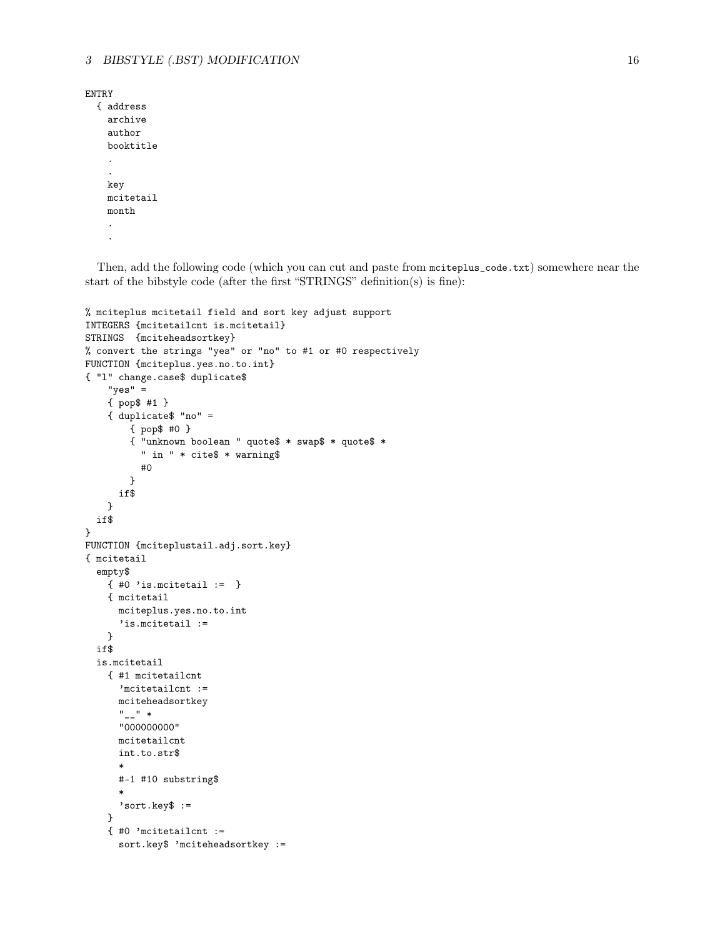```
ENTRY
  { address
    archive
    author
    booktitle
    .
    .
    key
    mcitetail
    month
    .
    .
```
Then, add the following code (which you can cut and paste from mciteplus\_code.txt) somewhere near the start of the bibstyle code (after the first "STRINGS" definition(s) is fine):

```
% mciteplus mcitetail field and sort key adjust support
INTEGERS {mcitetailcnt is.mcitetail}
STRINGS {mciteheadsortkey}
% convert the strings "yes" or "no" to #1 or #0 respectively
FUNCTION {mciteplus.yes.no.to.int}
{ "l" change.case$ duplicate$
    "yes" =
    { pop$ #1 }
    { duplicate$ "no" =
        { pop$ #0 }
        { "unknown boolean " quote$ * swap$ * quote$ *
          " in " * cite$ * warning$
          #0
        }
      if$
    }
 if$
}
FUNCTION {mciteplustail.adj.sort.key}
{ mcitetail
  empty$
    { #0 'is.mcitetail := }
    { mcitetail
     mciteplus.yes.no.to.int
      'is.mcitetail :=
    }
  if$
  is.mcitetail
    { #1 mcitetailcnt
      'mcitetailcnt :=
     mciteheadsortkey
      " " " *"000000000"
      mcitetailcnt
      int.to.str$
      *
      #-1 #10 substring$
      *
      'sort.key$ :=
    }
    { #0 'mcitetailcnt :=
      sort.key$ 'mciteheadsortkey :=
```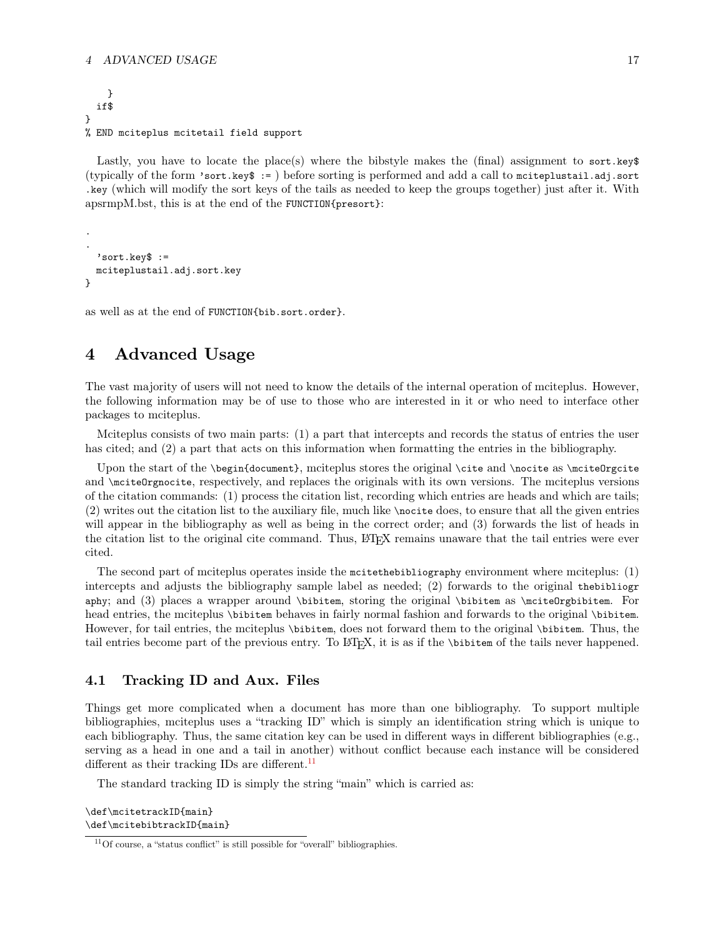#### 4 ADVANCED USAGE 17

```
}
  if$
}
% END mciteplus mcitetail field support
```
Lastly, you have to locate the place(s) where the bibstyle makes the (final) assignment to sort.key\$ (typically of the form 'sort.key\$ := ) before sorting is performed and add a call to mciteplustail.adj.sort .key (which will modify the sort keys of the tails as needed to keep the groups together) just after it. With apsrmpM.bst, this is at the end of the FUNCTION{presort}:

```
.
  'sort.key$ :=
 mciteplustail.adj.sort.key
}
```
.

as well as at the end of FUNCTION{bib.sort.order}.

## <span id="page-16-0"></span>4 Advanced Usage

The vast majority of users will not need to know the details of the internal operation of mciteplus. However, the following information may be of use to those who are interested in it or who need to interface other packages to mciteplus.

Mciteplus consists of two main parts: (1) a part that intercepts and records the status of entries the user has cited; and (2) a part that acts on this information when formatting the entries in the bibliography.

Upon the start of the \begin{document}, mciteplus stores the original \cite and \nocite as \mciteOrgcite and \mciteOrgnocite, respectively, and replaces the originals with its own versions. The mciteplus versions of the citation commands: (1) process the citation list, recording which entries are heads and which are tails; (2) writes out the citation list to the auxiliary file, much like \nocite does, to ensure that all the given entries will appear in the bibliography as well as being in the correct order; and (3) forwards the list of heads in the citation list to the original cite command. Thus, L<sup>AT</sup>EX remains unaware that the tail entries were ever cited.

The second part of mciteplus operates inside the mcitethebibliography environment where mciteplus: (1) intercepts and adjusts the bibliography sample label as needed; (2) forwards to the original thebibliogr aphy; and (3) places a wrapper around \bibitem, storing the original \bibitem as \mciteOrgbibitem. For head entries, the mciteplus \bibitem behaves in fairly normal fashion and forwards to the original \bibitem. However, for tail entries, the mciteplus \bibitem, does not forward them to the original \bibitem. Thus, the tail entries become part of the previous entry. To LATEX, it is as if the \bibitem of the tails never happened.

## <span id="page-16-1"></span>4.1 Tracking ID and Aux. Files

Things get more complicated when a document has more than one bibliography. To support multiple bibliographies, mciteplus uses a "tracking ID" which is simply an identification string which is unique to each bibliography. Thus, the same citation key can be used in different ways in different bibliographies (e.g., serving as a head in one and a tail in another) without conflict because each instance will be considered different as their tracking IDs are different.<sup>[11](#page-16-2)</sup>

The standard tracking ID is simply the string "main" which is carried as:

\def\mcitetrackID{main} \def\mcitebibtrackID{main}

<span id="page-16-2"></span><sup>11</sup>Of course, a "status conflict" is still possible for "overall" bibliographies.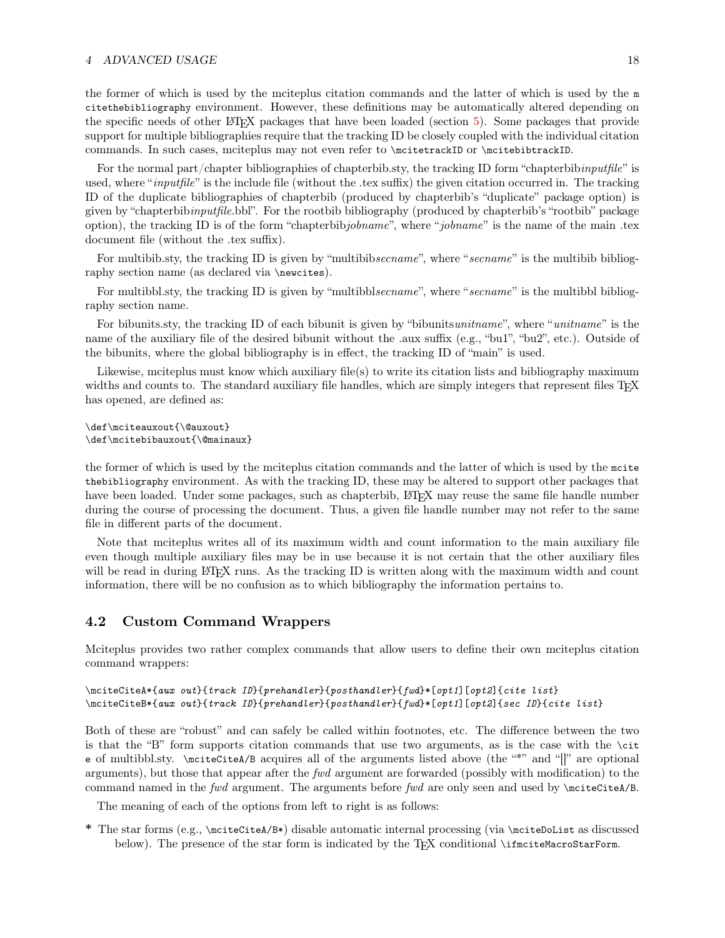#### 4 ADVANCED USAGE 18

the former of which is used by the mciteplus citation commands and the latter of which is used by the m citethebibliography environment. However, these definitions may be automatically altered depending on the specific needs of other LATEX packages that have been loaded (section [5\)](#page-20-0). Some packages that provide support for multiple bibliographies require that the tracking ID be closely coupled with the individual citation commands. In such cases, mciteplus may not even refer to \mcitetrackID or \mcitebibtrackID.

For the normal part/chapter bibliographies of chapterbib.sty, the tracking ID form "chapterbibinputfile" is used, where "*inputfile*" is the include file (without the .tex suffix) the given citation occurred in. The tracking ID of the duplicate bibliographies of chapterbib (produced by chapterbib's "duplicate" package option) is given by "chapterbibinputfile.bbl". For the rootbib bibliography (produced by chapterbib's "rootbib" package option), the tracking ID is of the form "chapterbibjobname", where "jobname" is the name of the main .tex document file (without the .tex suffix).

For multibib.sty, the tracking ID is given by "multibibsecname", where "secname" is the multibib bibliography section name (as declared via \newcites).

For multibbl.sty, the tracking ID is given by "multibblsecname", where "secname" is the multibbl bibliography section name.

For bibunits.sty, the tracking ID of each bibunit is given by "bibunitsunitname", where "unitname" is the name of the auxiliary file of the desired bibunit without the .aux suffix (e.g., "bu1", "bu2", etc.). Outside of the bibunits, where the global bibliography is in effect, the tracking ID of "main" is used.

Likewise, mciteplus must know which auxiliary file(s) to write its citation lists and bibliography maximum widths and counts to. The standard auxiliary file handles, which are simply integers that represent files T<sub>E</sub>X has opened, are defined as:

\def\mciteauxout{\@auxout} \def\mcitebibauxout{\@mainaux}

the former of which is used by the mciteplus citation commands and the latter of which is used by the mcite thebibliography environment. As with the tracking ID, these may be altered to support other packages that have been loaded. Under some packages, such as chapterbib, LATEX may reuse the same file handle number during the course of processing the document. Thus, a given file handle number may not refer to the same file in different parts of the document.

Note that mciteplus writes all of its maximum width and count information to the main auxiliary file even though multiple auxiliary files may be in use because it is not certain that the other auxiliary files will be read in during LATEX runs. As the tracking ID is written along with the maximum width and count information, there will be no confusion as to which bibliography the information pertains to.

## <span id="page-17-0"></span>4.2 Custom Command Wrappers

Mciteplus provides two rather complex commands that allow users to define their own mciteplus citation command wrappers:

```
\mciteCiteA*{aux out}{track ID}{prehandler}{posthandler}{fwd}*[opt1][opt2]{cite list}
\mciteCiteB*{aux out}{track ID}{prehandler}{posthandler}{fwd}*[opt1][opt2]{sec ID}{cite list}
```
Both of these are "robust" and can safely be called within footnotes, etc. The difference between the two is that the "B" form supports citation commands that use two arguments, as is the case with the \cit e of multibbl.sty. \mciteCiteA/B acquires all of the arguments listed above (the "\*" and "[]" are optional arguments), but those that appear after the fwd argument are forwarded (possibly with modification) to the command named in the fwd argument. The arguments before fwd are only seen and used by  $\net{citeA/B}$ .

The meaning of each of the options from left to right is as follows:

\* The star forms (e.g., \mciteCiteA/B\*) disable automatic internal processing (via \mciteDoList as discussed below). The presence of the star form is indicated by the T<sub>E</sub>X conditional \ifmciteMacroStarForm.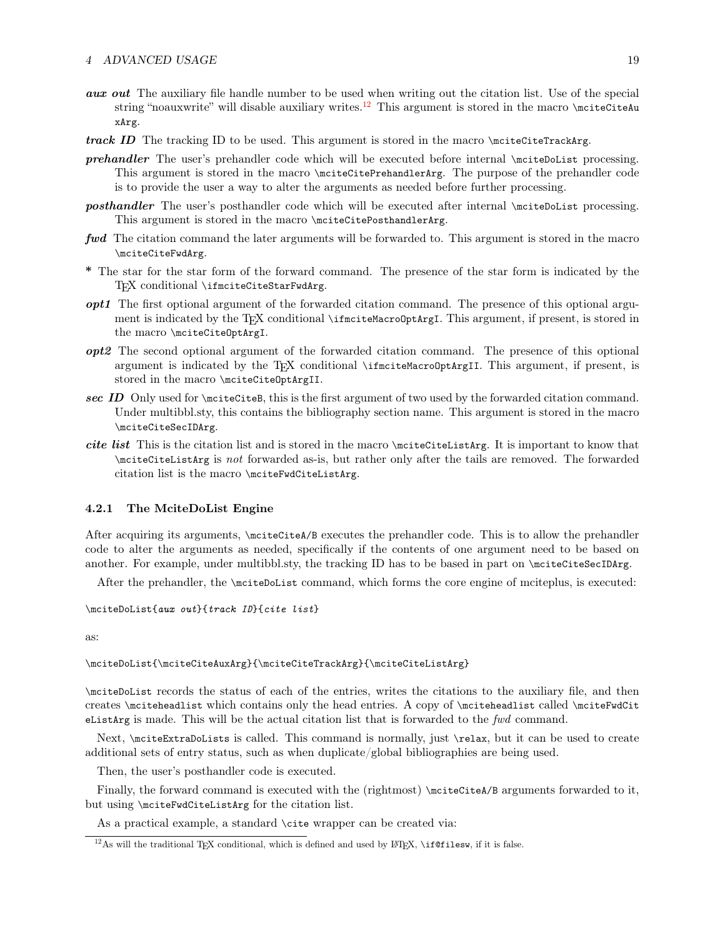- **aux out** The auxiliary file handle number to be used when writing out the citation list. Use of the special string "noauxwrite" will disable auxiliary writes.<sup>[12](#page-18-1)</sup> This argument is stored in the macro \mciteCiteAu xArg.
- track ID The tracking ID to be used. This argument is stored in the macro  $\text{CiteCiteTrackArg}$ .
- prehandler The user's prehandler code which will be executed before internal \mciteDoList processing. This argument is stored in the macro \mciteCitePrehandlerArg. The purpose of the prehandler code is to provide the user a way to alter the arguments as needed before further processing.
- **posthandler** The user's posthandler code which will be executed after internal \mciteDoList processing. This argument is stored in the macro \mciteCitePosthandlerArg.
- fwd The citation command the later arguments will be forwarded to. This argument is stored in the macro \mciteCiteFwdArg.
- \* The star for the star form of the forward command. The presence of the star form is indicated by the TEX conditional \ifmciteCiteStarFwdArg.
- opt1 The first optional argument of the forwarded citation command. The presence of this optional argument is indicated by the T<sub>E</sub>X conditional \ifmciteMacroOptArgI. This argument, if present, is stored in the macro \mciteCiteOptArgI.
- opt2 The second optional argument of the forwarded citation command. The presence of this optional argument is indicated by the T<sub>E</sub>X conditional \ifmciteMacroOptArgII. This argument, if present, is stored in the macro \mciteCiteOptArgII.
- sec ID Only used for \mciteCiteB, this is the first argument of two used by the forwarded citation command. Under multibbl.sty, this contains the bibliography section name. This argument is stored in the macro \mciteCiteSecIDArg.
- cite list This is the citation list and is stored in the macro \mciteCiteListArg. It is important to know that \mciteCiteListArg is not forwarded as-is, but rather only after the tails are removed. The forwarded citation list is the macro \mciteFwdCiteListArg.

#### <span id="page-18-0"></span>4.2.1 The MciteDoList Engine

After acquiring its arguments, \mciteCiteA/B executes the prehandler code. This is to allow the prehandler code to alter the arguments as needed, specifically if the contents of one argument need to be based on another. For example, under multibbl.sty, the tracking ID has to be based in part on \mciteCiteSecIDArg.

After the prehandler, the \mciteDoList command, which forms the core engine of mciteplus, is executed:

\mciteDoList{aux out}{track ID}{cite list}

as:

\mciteDoList{\mciteCiteAuxArg}{\mciteCiteTrackArg}{\mciteCiteListArg}

\mciteDoList records the status of each of the entries, writes the citations to the auxiliary file, and then creates \mciteheadlist which contains only the head entries. A copy of \mciteheadlist called \mciteFwdCit eListArg is made. This will be the actual citation list that is forwarded to the fwd command.

Next, \mciteExtraDoLists is called. This command is normally, just \relax, but it can be used to create additional sets of entry status, such as when duplicate/global bibliographies are being used.

Then, the user's posthandler code is executed.

Finally, the forward command is executed with the (rightmost) \mciteCiteA/B arguments forwarded to it, but using \mciteFwdCiteListArg for the citation list.

As a practical example, a standard \cite wrapper can be created via:

<span id="page-18-1"></span><sup>&</sup>lt;sup>12</sup>As will the traditional T<sub>EX</sub> conditional, which is defined and used by LAT<sub>EX</sub>, \if@filesw, if it is false.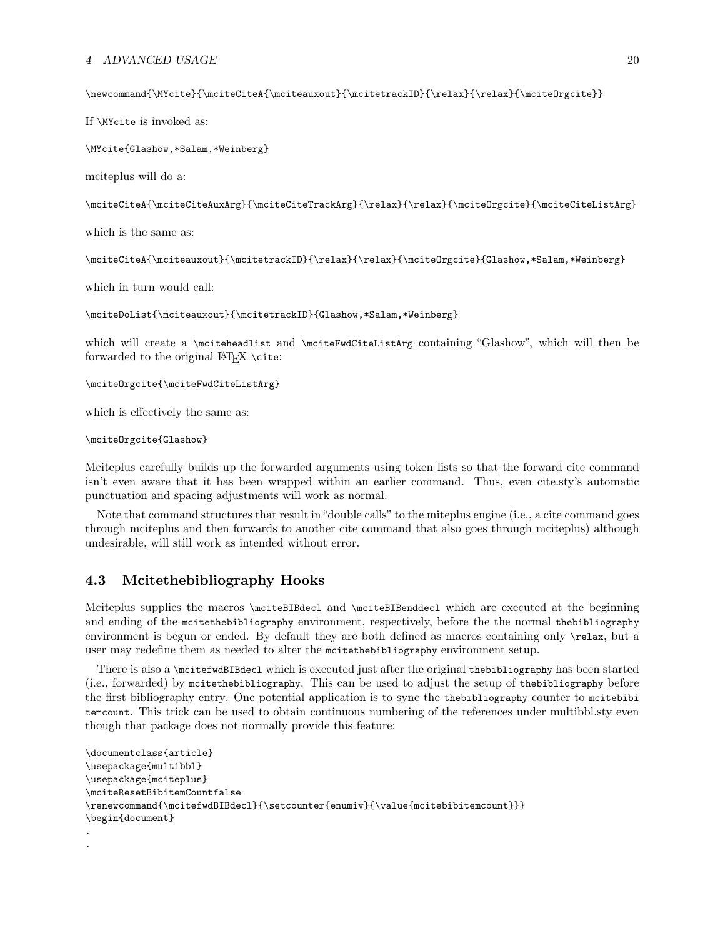#### 4 ADVANCED USAGE 20

\newcommand{\MYcite}{\mciteCiteA{\mciteauxout}{\mcitetrackID}{\relax}{\relax}{\mciteOrgcite}}

If \MYcite is invoked as:

\MYcite{Glashow,\*Salam,\*Weinberg}

mciteplus will do a:

\mciteCiteA{\mciteCiteAuxArg}{\mciteCiteTrackArg}{\relax}{\relax}{\mciteOrgcite}{\mciteCiteListArg}

which is the same as:

\mciteCiteA{\mciteauxout}{\mcitetrackID}{\relax}{\relax}{\mciteOrgcite}{Glashow,\*Salam,\*Weinberg}

which in turn would call:

\mciteDoList{\mciteauxout}{\mcitetrackID}{Glashow,\*Salam,\*Weinberg}

which will create a \mciteheadlist and \mciteFwdCiteListArg containing "Glashow", which will then be forwarded to the original LATEX \cite:

\mciteOrgcite{\mciteFwdCiteListArg}

which is effectively the same as:

#### \mciteOrgcite{Glashow}

.

Mciteplus carefully builds up the forwarded arguments using token lists so that the forward cite command isn't even aware that it has been wrapped within an earlier command. Thus, even cite.sty's automatic punctuation and spacing adjustments will work as normal.

Note that command structures that result in "double calls" to the miteplus engine (i.e., a cite command goes through mciteplus and then forwards to another cite command that also goes through mciteplus) although undesirable, will still work as intended without error.

## <span id="page-19-0"></span>4.3 Mcitethebibliography Hooks

Mciteplus supplies the macros \mciteBIBdecl and \mciteBIBenddecl which are executed at the beginning and ending of the mcitethebibliography environment, respectively, before the the normal thebibliography environment is begun or ended. By default they are both defined as macros containing only \relax, but a user may redefine them as needed to alter the mcitethebibliography environment setup.

There is also a \mcitefwdBIBdecl which is executed just after the original thebibliography has been started (i.e., forwarded) by mcitethebibliography. This can be used to adjust the setup of thebibliography before the first bibliography entry. One potential application is to sync the thebibliography counter to mcitebibi temcount. This trick can be used to obtain continuous numbering of the references under multibbl.sty even though that package does not normally provide this feature:

```
\documentclass{article}
\usepackage{multibbl}
\usepackage{mciteplus}
\mciteResetBibitemCountfalse
\verb|\renewcommand{\|micftwdBIBdec1}{\setminus\text{enum}{}|\value{\midncitebibitemcount}}\}\begin{document}
.
```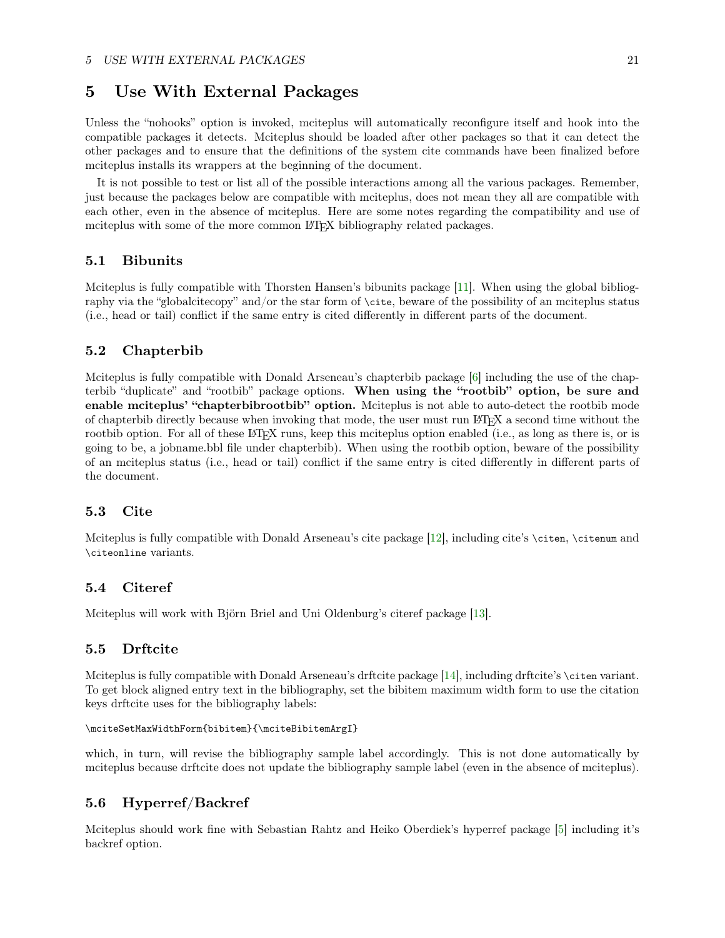## <span id="page-20-0"></span>5 Use With External Packages

Unless the "nohooks" option is invoked, mciteplus will automatically reconfigure itself and hook into the compatible packages it detects. Mciteplus should be loaded after other packages so that it can detect the other packages and to ensure that the definitions of the system cite commands have been finalized before mciteplus installs its wrappers at the beginning of the document.

It is not possible to test or list all of the possible interactions among all the various packages. Remember, just because the packages below are compatible with mciteplus, does not mean they all are compatible with each other, even in the absence of mciteplus. Here are some notes regarding the compatibility and use of mciteplus with some of the more common LAT<sub>EX</sub> bibliography related packages.

### <span id="page-20-1"></span>5.1 Bibunits

Mciteplus is fully compatible with Thorsten Hansen's bibunits package [\[11\]](#page-23-0). When using the global bibliography via the "globalcitecopy" and/or the star form of \cite, beware of the possibility of an mciteplus status (i.e., head or tail) conflict if the same entry is cited differently in different parts of the document.

### <span id="page-20-2"></span>5.2 Chapterbib

Mciteplus is fully compatible with Donald Arseneau's chapterbib package [\[6\]](#page-22-8) including the use of the chapterbib "duplicate" and "rootbib" package options. When using the "rootbib" option, be sure and enable mciteplus' "chapterbibrootbib" option. Mciteplus is not able to auto-detect the rootbib mode of chapterbib directly because when invoking that mode, the user must run LATEX a second time without the rootbib option. For all of these LAT<sub>EX</sub> runs, keep this mciteplus option enabled (i.e., as long as there is, or is going to be, a jobname.bbl file under chapterbib). When using the rootbib option, beware of the possibility of an mciteplus status (i.e., head or tail) conflict if the same entry is cited differently in different parts of the document.

### <span id="page-20-3"></span>5.3 Cite

Mciteplus is fully compatible with Donald Arseneau's cite package [\[12\]](#page-23-1), including cite's \citen, \citenum and \citeonline variants.

### <span id="page-20-4"></span>5.4 Citeref

Mciteplus will work with Björn Briel and Uni Oldenburg's citeref package [\[13\]](#page-23-2).

#### <span id="page-20-5"></span>5.5 Drftcite

Mciteplus is fully compatible with Donald Arseneau's drftcite package [\[14\]](#page-23-3), including drftcite's \citen variant. To get block aligned entry text in the bibliography, set the bibitem maximum width form to use the citation keys drftcite uses for the bibliography labels:

```
\mciteSetMaxWidthForm{bibitem}{\mciteBibitemArgI}
```
which, in turn, will revise the bibliography sample label accordingly. This is not done automatically by mciteplus because drftcite does not update the bibliography sample label (even in the absence of mciteplus).

## <span id="page-20-6"></span>5.6 Hyperref/Backref

Mciteplus should work fine with Sebastian Rahtz and Heiko Oberdiek's hyperref package [\[5\]](#page-22-7) including it's backref option.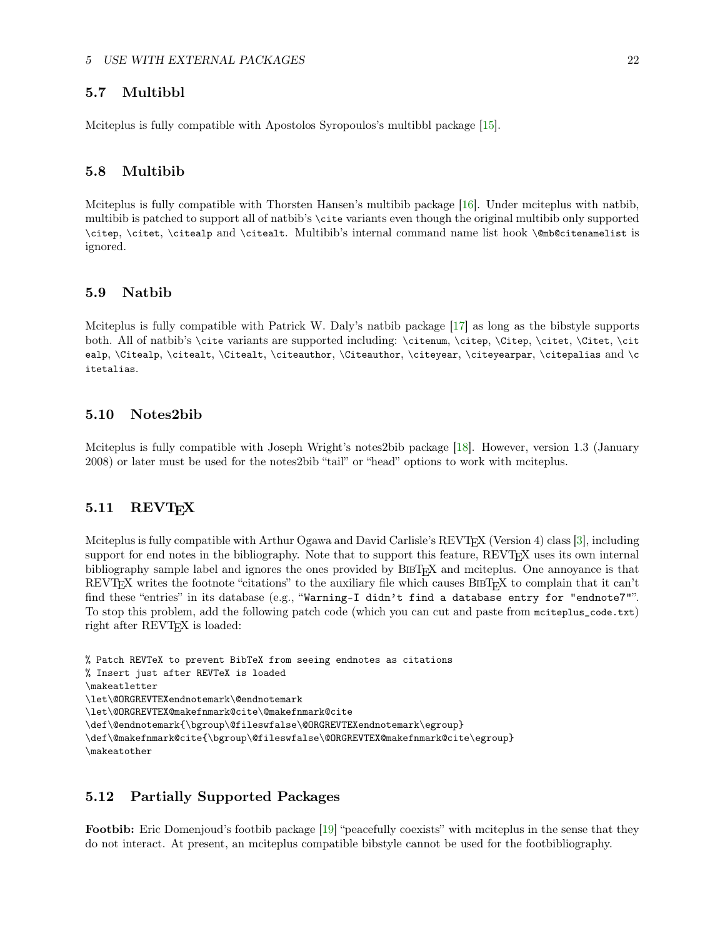## <span id="page-21-0"></span>5.7 Multibbl

Mciteplus is fully compatible with Apostolos Syropoulos's multibbl package [\[15\]](#page-23-4).

#### <span id="page-21-1"></span>5.8 Multibib

Mciteplus is fully compatible with Thorsten Hansen's multibib package [\[16\]](#page-23-5). Under mciteplus with natbib, multibib is patched to support all of natbib's \cite variants even though the original multibib only supported \citep, \citet, \citealp and \citealt. Multibib's internal command name list hook \@mb@citenamelist is ignored.

#### <span id="page-21-2"></span>5.9 Natbib

Mciteplus is fully compatible with Patrick W. Daly's natbib package [\[17\]](#page-23-6) as long as the bibstyle supports both. All of natbib's \cite variants are supported including: \citenum, \citep, \Citep, \citet, \Citet, \citet, \citet, \citet, \citet, \citet, \citet, \citet, \citet, \citet, \citet, \citet, \citet, \citet, \citet, \citet ealp, \Citealp, \citealt, \Citealt, \citeauthor, \Citeauthor, \citeyear, \citeyearpar, \citepalias and \c itetalias.

### <span id="page-21-3"></span>5.10 Notes2bib

Mciteplus is fully compatible with Joseph Wright's notes2bib package [\[18\]](#page-23-7). However, version 1.3 (January 2008) or later must be used for the notes2bib "tail" or "head" options to work with mciteplus.

## <span id="page-21-4"></span>5.11 REVT<sub>F</sub>X

Mciteplus is fully compatible with Arthur Ogawa and David Carlisle's REVT<sub>EX</sub> (Version 4) class [\[3\]](#page-22-5), including support for end notes in the bibliography. Note that to support this feature, REVT<sub>F</sub>X uses its own internal bibliography sample label and ignores the ones provided by BIBT<sub>EX</sub> and mciteplus. One annoyance is that REVTEX writes the footnote "citations" to the auxiliary file which causes BIBTEX to complain that it can't find these "entries" in its database (e.g., "Warning–I didn't find a database entry for "endnote7"". To stop this problem, add the following patch code (which you can cut and paste from mciteplus\_code.txt) right after REVT<sub>E</sub>X is loaded:

```
% Patch REVTeX to prevent BibTeX from seeing endnotes as citations
% Insert just after REVTeX is loaded
\makeatletter
\let\@ORGREVTEXendnotemark\@endnotemark
\let\@ORGREVTEX@makefnmark@cite\@makefnmark@cite
\def\@endnotemark{\bgroup\@fileswfalse\@ORGREVTEXendnotemark\egroup}
\def\@makefnmark@cite{\bgroup\@fileswfalse\@ORGREVTEX@makefnmark@cite\egroup}
\makeatother
```
## <span id="page-21-5"></span>5.12 Partially Supported Packages

Footbib: Eric Domenjoud's footbib package [\[19\]](#page-23-8) "peacefully coexists" with mciteplus in the sense that they do not interact. At present, an mciteplus compatible bibstyle cannot be used for the footbibliography.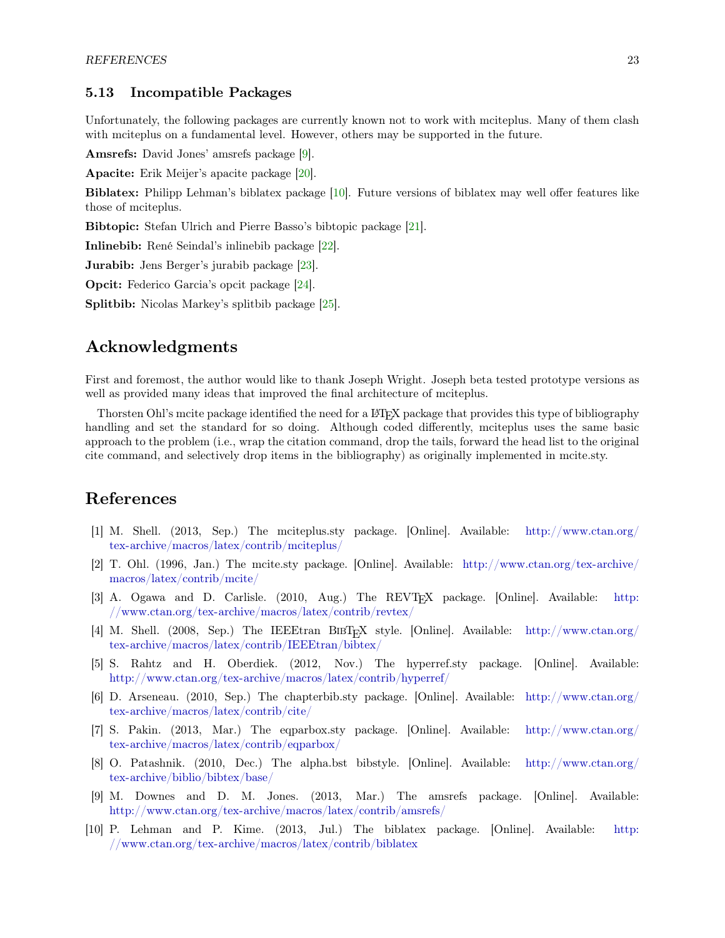## <span id="page-22-0"></span>5.13 Incompatible Packages

Unfortunately, the following packages are currently known not to work with mciteplus. Many of them clash with mciteplus on a fundamental level. However, others may be supported in the future.

Amsrefs: David Jones' amsrefs package [\[9\]](#page-22-11).

Apacite: Erik Meijer's apacite package [\[20\]](#page-23-9).

Biblatex: Philipp Lehman's biblatex package [\[10\]](#page-22-12). Future versions of biblatex may well offer features like those of mciteplus.

Bibtopic: Stefan Ulrich and Pierre Basso's bibtopic package [\[21\]](#page-23-10).

Inlinebib: René Seindal's inlinebib package [\[22\]](#page-23-11).

Jurabib: Jens Berger's jurabib package [\[23\]](#page-23-12).

Opcit: Federico Garcia's opcit package [\[24\]](#page-23-13).

Splitbib: Nicolas Markey's splitbib package [\[25\]](#page-23-14).

## <span id="page-22-1"></span>Acknowledgments

First and foremost, the author would like to thank Joseph Wright. Joseph beta tested prototype versions as well as provided many ideas that improved the final architecture of mciteplus.

Thorsten Ohl's mcite package identified the need for a LAT<sub>EX</sub> package that provides this type of bibliography handling and set the standard for so doing. Although coded differently, mciteplus uses the same basic approach to the problem (i.e., wrap the citation command, drop the tails, forward the head list to the original cite command, and selectively drop items in the bibliography) as originally implemented in mcite.sty.

## <span id="page-22-2"></span>References

- <span id="page-22-3"></span>[1] M. Shell. (2013, Sep.) The mciteplus.sty package. [Online]. Available: [http://www.ctan.org/](http://www.ctan.org/tex-archive/macros/latex/contrib/mciteplus/) [tex-archive/macros/latex/contrib/mciteplus/](http://www.ctan.org/tex-archive/macros/latex/contrib/mciteplus/)
- <span id="page-22-4"></span>[2] T. Ohl. (1996, Jan.) The mcite.sty package. [Online]. Available: [http://www.ctan.org/tex-archive/](http://www.ctan.org/tex-archive/macros/latex/contrib/mcite/) [macros/latex/contrib/mcite/](http://www.ctan.org/tex-archive/macros/latex/contrib/mcite/)
- <span id="page-22-5"></span>[3] A. Ogawa and D. Carlisle. (2010, Aug.) The REVTEX package. [Online]. Available: [http:](http://www.ctan.org/tex-archive/macros/latex/contrib/revtex/) [//www.ctan.org/tex-archive/macros/latex/contrib/revtex/](http://www.ctan.org/tex-archive/macros/latex/contrib/revtex/)
- <span id="page-22-6"></span>[4] M. Shell. (2008, Sep.) The IEEEtran BibTEX style. [Online]. Available: [http://www.ctan.org/](http://www.ctan.org/tex-archive/macros/latex/contrib/IEEEtran/bibtex/) [tex-archive/macros/latex/contrib/IEEEtran/bibtex/](http://www.ctan.org/tex-archive/macros/latex/contrib/IEEEtran/bibtex/)
- <span id="page-22-7"></span>[5] S. Rahtz and H. Oberdiek. (2012, Nov.) The hyperref.sty package. [Online]. Available: <http://www.ctan.org/tex-archive/macros/latex/contrib/hyperref/>
- <span id="page-22-8"></span>[6] D. Arseneau. (2010, Sep.) The chapterbib.sty package. [Online]. Available: [http://www.ctan.org/](http://www.ctan.org/tex-archive/macros/latex/contrib/cite/) [tex-archive/macros/latex/contrib/cite/](http://www.ctan.org/tex-archive/macros/latex/contrib/cite/)
- <span id="page-22-9"></span>[7] S. Pakin. (2013, Mar.) The eqparbox.sty package. [Online]. Available: [http://www.ctan.org/](http://www.ctan.org/tex-archive/macros/latex/contrib/eqparbox/) [tex-archive/macros/latex/contrib/eqparbox/](http://www.ctan.org/tex-archive/macros/latex/contrib/eqparbox/)
- <span id="page-22-10"></span>[8] O. Patashnik. (2010, Dec.) The alpha.bst bibstyle. [Online]. Available: [http://www.ctan.org/](http://www.ctan.org/tex-archive/biblio/bibtex/base/) [tex-archive/biblio/bibtex/base/](http://www.ctan.org/tex-archive/biblio/bibtex/base/)
- <span id="page-22-11"></span>[9] M. Downes and D. M. Jones. (2013, Mar.) The amsrefs package. [Online]. Available: <http://www.ctan.org/tex-archive/macros/latex/contrib/amsrefs/>
- <span id="page-22-12"></span>[10] P. Lehman and P. Kime. (2013, Jul.) The biblatex package. [Online]. Available: [http:](http://www.ctan.org/tex-archive/macros/latex/contrib/biblatex) [//www.ctan.org/tex-archive/macros/latex/contrib/biblatex](http://www.ctan.org/tex-archive/macros/latex/contrib/biblatex)